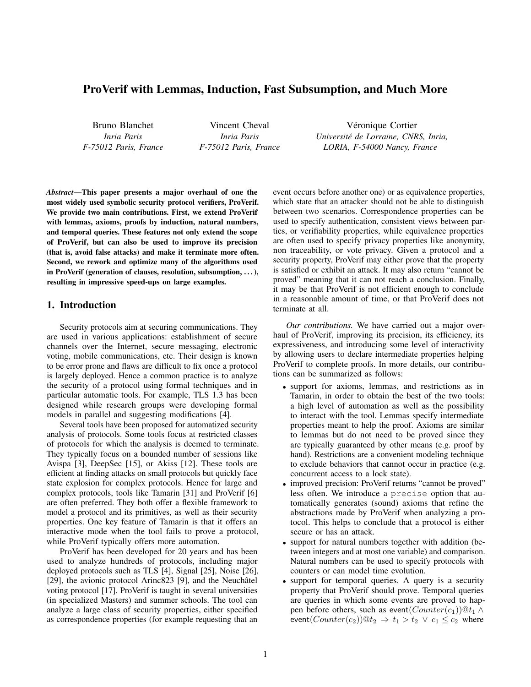# ProVerif with Lemmas, Induction, Fast Subsumption, and Much More

Bruno Blanchet *Inria Paris F-75012 Paris, France*

Vincent Cheval *Inria Paris F-75012 Paris, France*

Véronique Cortier *Universite de Lorraine, CNRS, Inria, ´ LORIA, F-54000 Nancy, France*

*Abstract*—This paper presents a major overhaul of one the most widely used symbolic security protocol verifiers, ProVerif. We provide two main contributions. First, we extend ProVerif with lemmas, axioms, proofs by induction, natural numbers, and temporal queries. These features not only extend the scope of ProVerif, but can also be used to improve its precision (that is, avoid false attacks) and make it terminate more often. Second, we rework and optimize many of the algorithms used in ProVerif (generation of clauses, resolution, subsumption, . . . ), resulting in impressive speed-ups on large examples.

## 1. Introduction

Security protocols aim at securing communications. They are used in various applications: establishment of secure channels over the Internet, secure messaging, electronic voting, mobile communications, etc. Their design is known to be error prone and flaws are difficult to fix once a protocol is largely deployed. Hence a common practice is to analyze the security of a protocol using formal techniques and in particular automatic tools. For example, TLS 1.3 has been designed while research groups were developing formal models in parallel and suggesting modifications [4].

Several tools have been proposed for automatized security analysis of protocols. Some tools focus at restricted classes of protocols for which the analysis is deemed to terminate. They typically focus on a bounded number of sessions like Avispa [3], DeepSec [15], or Akiss [12]. These tools are efficient at finding attacks on small protocols but quickly face state explosion for complex protocols. Hence for large and complex protocols, tools like Tamarin [31] and ProVerif [6] are often preferred. They both offer a flexible framework to model a protocol and its primitives, as well as their security properties. One key feature of Tamarin is that it offers an interactive mode when the tool fails to prove a protocol, while ProVerif typically offers more automation.

ProVerif has been developed for 20 years and has been used to analyze hundreds of protocols, including major deployed protocols such as TLS [4], Signal [25], Noise [26], [29], the avionic protocol Arinc823 [9], and the Neuchâtel voting protocol [17]. ProVerif is taught in several universities (in specialized Masters) and summer schools. The tool can analyze a large class of security properties, either specified as correspondence properties (for example requesting that an

event occurs before another one) or as equivalence properties, which state that an attacker should not be able to distinguish between two scenarios. Correspondence properties can be used to specify authentication, consistent views between parties, or verifiability properties, while equivalence properties are often used to specify privacy properties like anonymity, non traceability, or vote privacy. Given a protocol and a security property, ProVerif may either prove that the property is satisfied or exhibit an attack. It may also return "cannot be proved" meaning that it can not reach a conclusion. Finally, it may be that ProVerif is not efficient enough to conclude in a reasonable amount of time, or that ProVerif does not terminate at all.

*Our contributions.* We have carried out a major overhaul of ProVerif, improving its precision, its efficiency, its expressiveness, and introducing some level of interactivity by allowing users to declare intermediate properties helping ProVerif to complete proofs. In more details, our contributions can be summarized as follows:

- support for axioms, lemmas, and restrictions as in Tamarin, in order to obtain the best of the two tools: a high level of automation as well as the possibility to interact with the tool. Lemmas specify intermediate properties meant to help the proof. Axioms are similar to lemmas but do not need to be proved since they are typically guaranteed by other means (e.g. proof by hand). Restrictions are a convenient modeling technique to exclude behaviors that cannot occur in practice (e.g. concurrent access to a lock state).
- improved precision: ProVerif returns "cannot be proved" less often. We introduce a precise option that automatically generates (sound) axioms that refine the abstractions made by ProVerif when analyzing a protocol. This helps to conclude that a protocol is either secure or has an attack.
- support for natural numbers together with addition (between integers and at most one variable) and comparison. Natural numbers can be used to specify protocols with counters or can model time evolution.
- support for temporal queries. A query is a security property that ProVerif should prove. Temporal queries are queries in which some events are proved to happen before others, such as event $(Counter(c_1))@t_1 \wedge$ event $(Counter(c_2))@t_2 \Rightarrow t_1 > t_2 \lor c_1 \leq c_2$  where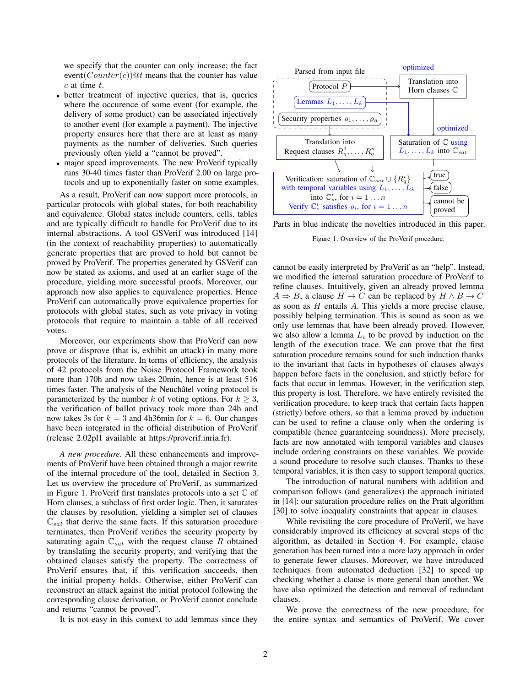we specify that the counter can only increase; the fact event( $Counter(c)$ )@t means that the counter has value  $c$  at time  $t$ .

- better treatment of injective queries, that is, queries where the occurence of some event (for example, the delivery of some product) can be associated injectively to another event (for example a payment). The injective property ensures here that there are at least as many payments as the number of deliveries. Such queries previously often yield a "cannot be proved".
- major speed improvements. The new ProVerif typically runs 30-40 times faster than ProVerif 2.00 on large protocols and up to exponentially faster on some examples.

As a result, ProVerif can now support more protocols, in particular protocols with global states, for both reachability and equivalence. Global states include counters, cells, tables and are typically difficult to handle for ProVerif due to its internal abstractions. A tool GSVerif was introduced [14] (in the context of reachability properties) to automatically generate properties that are proved to hold but cannot be proved by ProVerif. The properties generated by GSVerif can now be stated as axioms, and used at an earlier stage of the procedure, yielding more successful proofs. Moreover, our approach now also applies to equivalence properties. Hence ProVerif can automatically prove equivalence properties for protocols with global states, such as vote privacy in voting protocols that require to maintain a table of all received votes.

Moreover, our experiments show that ProVerif can now prove or disprove (that is, exhibit an attack) in many more protocols of the literature. In terms of efficiency, the analysis of 42 protocols from the Noise Protocol Framework took more than 170h and now takes 20min, hence is at least 516 times faster. The analysis of the Neuchâtel voting protocol is parameterized by the number k of voting options. For  $k \geq 3$ , the verification of ballot privacy took more than 24h and now takes 3s for  $k = 3$  and 4h36min for  $k = 6$ . Our changes have been integrated in the official distribution of ProVerif (release 2.02pl1 available at https://proverif.inria.fr).

*A new procedure.* All these enhancements and improvements of ProVerif have been obtained through a major rewrite of the internal procedure of the tool, detailed in Section 3. Let us overview the procedure of ProVerif, as summarized in Figure 1. ProVerif first translates protocols into a set C of Horn clauses, a subclass of first order logic. Then, it saturates the clauses by resolution, yielding a simpler set of clauses  $\mathbb{C}_{sat}$  that derive the same facts. If this saturation procedure terminates, then ProVerif verifies the security property by saturating again  $\mathbb{C}_{sat}$  with the request clause R obtained by translating the security property, and verifying that the obtained clauses satisfy the property. The correctness of ProVerif ensures that, if this verification succeeds, then the initial property holds. Otherwise, either ProVerif can reconstruct an attack against the initial protocol following the corresponding clause derivation, or ProVerif cannot conclude and returns "cannot be proved".

It is not easy in this context to add lemmas since they



Parts in blue indicate the novelties introduced in this paper.

Figure 1. Overview of the ProVerif procedure.

cannot be easily interpreted by ProVerif as an "help". Instead, we modified the internal saturation procedure of ProVerif to refine clauses. Intuitively, given an already proved lemma  $A \Rightarrow B$ , a clause  $H \to C$  can be replaced by  $H \land B \to C$ as soon as H entails A. This yields a more precise clause, possibly helping termination. This is sound as soon as we only use lemmas that have been already proved. However, we also allow a lemma  $L_i$  to be proved by induction on the length of the execution trace. We can prove that the first saturation procedure remains sound for such induction thanks to the invariant that facts in hypotheses of clauses always happen before facts in the conclusion, and strictly before for facts that occur in lemmas. However, in the verification step, this property is lost. Therefore, we have entirely revisited the verification procedure, to keep track that certain facts happen (strictly) before others, so that a lemma proved by induction can be used to refine a clause only when the ordering is compatible (hence guaranteeing soundness). More precisely, facts are now annotated with temporal variables and clauses include ordering constraints on these variables. We provide a sound procedure to resolve such clauses. Thanks to these temporal variables, it is then easy to support temporal queries.

The introduction of natural numbers with addition and comparison follows (and generalizes) the approach initiated in [14]: our saturation procedure relies on the Pratt algorithm [30] to solve inequality constraints that appear in clauses.

While revisiting the core procedure of ProVerif, we have considerably improved its efficiency at several steps of the algorithm, as detailed in Section 4. For example, clause generation has been turned into a more lazy approach in order to generate fewer clauses. Moreover, we have introduced techniques from automated deduction [32] to speed up checking whether a clause is more general than another. We have also optimized the detection and removal of redundant clauses.

We prove the correctness of the new procedure, for the entire syntax and semantics of ProVerif. We cover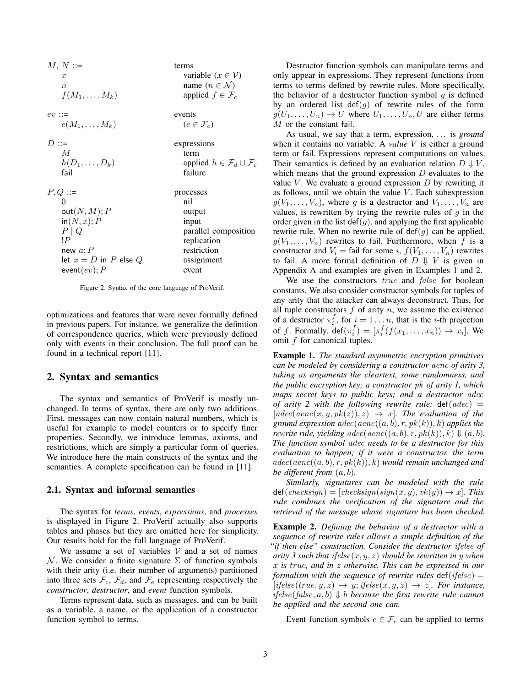$M, N ::=$  terms x variable  $(x \in V)$ n<br>  $f(M_1, ..., M_k)$  name  $(n \in \mathcal{N})$ <br>
applied  $f \in \mathcal{F}_c$  $f(M_1, \ldots, M_k)$  $ev ::=$  events  $e(M_1, \ldots, M_k)$  ( $e \in \mathcal{F}_e$ )  $D ::=$  expressions  $M$  term<br>  $h(D_1, \ldots, D_k)$  term applied  $h \in \mathcal{F}_d \cup \mathcal{F}_c$ fail failure  $P, Q ::=$  processes 0 nil  $out(N, M); P$  output  $in(N, x); P$  input  $P | Q$  parallel composition  $\mathbb{P}$  replication new  $a$ ;  $P$  restriction let  $x = D$  in P else Q assignment  $event(ev); P$  event

Figure 2. Syntax of the core language of ProVerif.

optimizations and features that were never formally defined in previous papers. For instance, we generalize the definition of correspondence queries, which were previously defined only with events in their conclusion. The full proof can be found in a technical report [11].

## 2. Syntax and semantics

The syntax and semantics of ProVerif is mostly unchanged. In terms of syntax, there are only two additions. First, messages can now contain natural numbers, which is useful for example to model counters or to specify finer properties. Secondly, we introduce lemmas, axioms, and restrictions, which are simply a particular form of queries. We introduce here the main constructs of the syntax and the semantics. A complete specification can be found in [11].

#### 2.1. Syntax and informal semantics

The syntax for *terms*, *events*, *expressions*, and *processes* is displayed in Figure 2. ProVerif actually also supports tables and phases but they are omitted here for simplicity. Our results hold for the full language of ProVerif.

We assume a set of variables  $V$  and a set of names N. We consider a finite signature  $\Sigma$  of function symbols with their arity (i.e. their number of arguments) partitioned into three sets  $\mathcal{F}_c$ ,  $\mathcal{F}_d$ , and  $\mathcal{F}_e$  representing respectively the *constructor*, *destructor*, and *event* function symbols.

Terms represent data, such as messages, and can be built as a variable, a name, or the application of a constructor function symbol to terms.

Destructor function symbols can manipulate terms and only appear in expressions. They represent functions from terms to terms defined by rewrite rules. More specifically, the behavior of a destructor function symbol  $g$  is defined by an ordered list  $\det(g)$  of rewrite rules of the form  $g(U_1, \ldots, U_n) \to U$  where  $U_1, \ldots, U_n, U$  are either terms M or the constant fail.

As usual, we say that a term, expression, ... is *ground* when it contains no variable. A *value* V is either a ground term or fail. Expressions represent computations on values. Their semantics is defined by an evaluation relation  $D \Downarrow V$ , which means that the ground expression  $D$  evaluates to the value V. We evaluate a ground expression  $D$  by rewriting it as follows, until we obtain the value  $V$ . Each subexpression  $g(V_1, \ldots, V_n)$ , where g is a destructor and  $V_1, \ldots, V_n$  are values, is rewritten by trying the rewrite rules of  $q$  in the order given in the list def(q), and applying the first applicable rewrite rule. When no rewrite rule of  $\det(g)$  can be applied,  $g(V_1, \ldots, V_n)$  rewrites to fail. Furthermore, when f is a constructor and  $V_i = \text{fail}$  for some i,  $f(V_1, \ldots, V_n)$  rewrites to fail. A more formal definition of  $D \Downarrow V$  is given in Appendix A and examples are given in Examples 1 and 2.

We use the constructors true and false for boolean constants. We also consider constructor symbols for tuples of any arity that the attacker can always deconstruct. Thus, for all tuple constructors  $f$  of arity  $n$ , we assume the existence of a destructor  $\pi_i^f$ , for  $i = 1 \dots n$ , that is the *i*-th projection of f. Formally,  $\det(\pi_i^f) = [\pi_i^f(f(x_1, \ldots, x_n)) \to x_i]$ . We omit f for canonical tuples.

Example 1. *The standard asymmetric encryption primitives can be modeled by considering a constructor* aenc *of arity 3, taking as arguments the cleartext, some randomness, and the public encryption key; a constructor* pk *of arity 1, which maps secret keys to public keys; and a destructor* adec *of arity 2 with the following rewrite rule:* def(adec) =  $[adec(aenc(x, y, pk(z)), z) \rightarrow x]$ *. The evaluation of the ground expression adec*( $aenc((a, b), r, pk(k)), k$ ) *applies the rewrite rule, yielding adec*( $aenc((a, b), r, pk(k)), k) \Downarrow (a, b)$ . *The function symbol* adec *needs to be a destructor for this evaluation to happen; if it were a constructor, the term*  $adec(aenc((a, b), r, pk(k)), k)$  *would remain unchanged and be different from* (a, b)*.*

*Similarly, signatures can be modeled with the rule*  $def(checksign) = [checksign(sign(x, y), vk(y)) \rightarrow x]$ *. This rule combines the verification of the signature and the retrieval of the message whose signature has been checked.*

Example 2. *Defining the behavior of a destructor with a sequence of rewrite rules allows a simple definition of the "if then else" construction. Consider the destructor* ifelse *of arity 3 such that* ifelse(x, y, z) *should be rewritten in* y *when* x *is* true*, and in* z *otherwise. This can be expressed in our formalism with the sequence of rewrite rules*  $\det(i\text{felse}) =$  $[i\text{felse}(\text{true}, y, z) \rightarrow y; \text{ifelse}(x, y, z) \rightarrow z]$ *. For instance,* ifelse(false,  $a, b$ )  $\downarrow$  *b because the first rewrite rule cannot be applied and the second one can.*

Event function symbols  $e \in \mathcal{F}_e$  can be applied to terms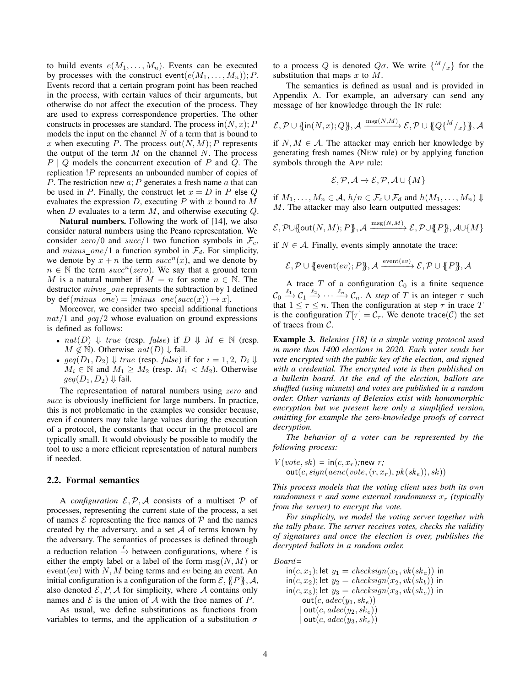to build events  $e(M_1, \ldots, M_n)$ . Events can be executed by processes with the construct event $(e(M_1, \ldots, M_n)); P$ . Events record that a certain program point has been reached in the process, with certain values of their arguments, but otherwise do not affect the execution of the process. They are used to express correspondence properties. The other constructs in processes are standard. The process in $(N, x); P$ models the input on the channel  $N$  of a term that is bound to x when executing P. The process out  $(N, M); P$  represents the output of the term  $M$  on the channel  $N$ . The process  $P \mid Q$  models the concurrent execution of P and Q. The replication !P represents an unbounded number of copies of P. The restriction new  $a$ ; P generates a fresh name  $a$  that can be used in P. Finally, the construct let  $x = D$  in P else Q. evaluates the expression  $D$ , executing  $P$  with  $x$  bound to  $M$ when  $D$  evaluates to a term  $M$ , and otherwise executing  $Q$ .

Natural numbers. Following the work of [14], we also consider natural numbers using the Peano representation. We consider zero/0 and succ/1 two function symbols in  $\mathcal{F}_c$ , and  $minus\_one/1$  a function symbol in  $\mathcal{F}_d$ . For simplicity, we denote by  $x + n$  the term  $succ^n(x)$ , and we denote by  $n \in \mathbb{N}$  the term  $succ^n(zero)$ . We say that a ground term M is a natural number if  $M = n$  for some  $n \in \mathbb{N}$ . The destructor *minus\_one* represents the subtraction by 1 defined by def( $minus\_one$ ) =  $[minus\_one(succ(x)) \rightarrow x]$ .

Moreover, we consider two special additional functions  $nat/1$  and  $geq/2$  whose evaluation on ground expressions is defined as follows:

- $nat(D) \Downarrow true$  (resp. false) if  $D \Downarrow M \in \mathbb{N}$  (resp.  $M \notin \mathbb{N}$ ). Otherwise  $nat(D) \Downarrow$  fail.
- $geq(D_1, D_2) \Downarrow \text{true}$  (resp. false) if for  $i = 1, 2, D_i \Downarrow \text{true}$  $M_i \in \mathbb{N}$  and  $M_1 \geq M_2$  (resp.  $M_1 < M_2$ ). Otherwise  $geq(D_1, D_2) \Downarrow$  fail.

The representation of natural numbers using zero and succ is obviously inefficient for large numbers. In practice, this is not problematic in the examples we consider because, even if counters may take large values during the execution of a protocol, the constants that occur in the protocol are typically small. It would obviously be possible to modify the tool to use a more efficient representation of natural numbers if needed.

#### 2.2. Formal semantics

A *configuration*  $\mathcal{E}, \mathcal{P}, \mathcal{A}$  consists of a multiset  $\mathcal{P}$  of processes, representing the current state of the process, a set of names  $\mathcal E$  representing the free names of  $\mathcal P$  and the names created by the adversary, and a set  $A$  of terms known by the adversary. The semantics of processes is defined through a reduction relation  $\stackrel{\ell}{\rightarrow}$  between configurations, where  $\ell$  is either the empty label or a label of the form  $\text{msg}(N, M)$  or  $event(ev)$  with  $N$ ,  $M$  being terms and  $ev$  being an event. An initial configuration is a configuration of the form  $\mathcal{E}, \{P\}, \mathcal{A},$ also denoted  $\mathcal{E}, P, A$  for simplicity, where A contains only names and  $\mathcal E$  is the union of  $\mathcal A$  with the free names of  $P$ .

As usual, we define substitutions as functions from variables to terms, and the application of a substitution  $\sigma$ 

to a process Q is denoted  $Q\sigma$ . We write  $\{M/_{x}\}\$ for the substitution that maps  $x$  to  $M$ .

The semantics is defined as usual and is provided in Appendix A. For example, an adversary can send any message of her knowledge through the IN rule:

$$
\mathcal{E}, \mathcal{P} \cup \{ \text{in}(N, x); Q \}, \mathcal{A} \xrightarrow{\text{msg}(N, M)} \mathcal{E}, \mathcal{P} \cup \{ Q\{M/x\} \}, \mathcal{A}
$$

if  $N, M \in \mathcal{A}$ . The attacker may enrich her knowledge by generating fresh names (NEW rule) or by applying function symbols through the APP rule:

$$
\mathcal{E}, \mathcal{P}, \mathcal{A} \to \mathcal{E}, \mathcal{P}, \mathcal{A} \cup \{M\}
$$

if  $M_1, \ldots, M_n \in \mathcal{A}, h/n \in \mathcal{F}_c \cup \mathcal{F}_d$  and  $h(M_1, \ldots, M_n) \Downarrow$ M. The attacker may also learn outputted messages:

$$
\mathcal{E}, \mathcal{P} \cup \{\!\!\{\mathsf{out}(N,M); P\}\!\!\}, \mathcal{A} \xrightarrow{\mathrm{msg}(N,M)} \mathcal{E}, \mathcal{P} \cup \{\!\!\{\, \!P\}\!\!\}, \mathcal{A} \cup \{M\}
$$

if  $N \in \mathcal{A}$ . Finally, events simply annotate the trace:

$$
\mathcal{E}, \mathcal{P} \cup \{\text{event}(ev); P\}, \mathcal{A} \xrightarrow{\text{event}(ev)} \mathcal{E}, \mathcal{P} \cup \{\!\!\{P\}\!\!\}, \mathcal{A}
$$

A trace  $T$  of a configuration  $C_0$  is a finite sequence  $\mathcal{C}_0 \xrightarrow{\ell_1} \mathcal{C}_1 \xrightarrow{\ell_2} \cdots \xrightarrow{\ell_n} \mathcal{C}_n$ . A *step* of T is an integer  $\tau$  such that  $1 \leq \tau \leq n$ . Then the configuration at step  $\tau$  in trace T is the configuration  $T[\tau] = C_{\tau}$ . We denote trace(C) the set of traces from  $C$ .

Example 3. *Belenios [18] is a simple voting protocol used in more than 1400 elections in 2020. Each voter sends her vote encrypted with the public key of the election, and signed with a credential. The encrypted vote is then published on a bulletin board. At the end of the election, ballots are shuffled (using mixnets) and votes are published in a random order. Other variants of Belenios exist with homomorphic encryption but we present here only a simplified version, omitting for example the zero-knowledge proofs of correct decryption.*

*The behavior of a voter can be represented by the following process:*

$$
V(vote, sk) = \text{in}(c, x_r); \text{new } r;
$$
  
out(c, sign(aenc(vote, (r, x\_r), pk(ske)), sk))

*This process models that the voting client uses both its own randomness*  $r$  *and some external randomness*  $x_r$  *(typically from the server) to encrypt the vote.*

*For simplicity, we model the voting server together with the tally phase. The server receives votes, checks the validity of signatures and once the election is over, publishes the decrypted ballots in a random order.*

Board*=*

 $\textsf{in}(c, x_1);$  let  $y_1 = \text{checksign}(x_1, \text{vk}(sk_a))$  in  $\textsf{in}(c, x_2)$ ; let  $y_2 = \text{checksign}(x_2, \text{vk}(sk_b))$  in  $\textsf{in}(c, x_3);$  let  $y_3 = \text{checksign}(x_3, \text{vk}(sk_c))$  in  $out(c, adec(y_1, sk_e))$  $out(c, adec(y_2, sk_e))$  $out(c, adec(y_3, sk_e))$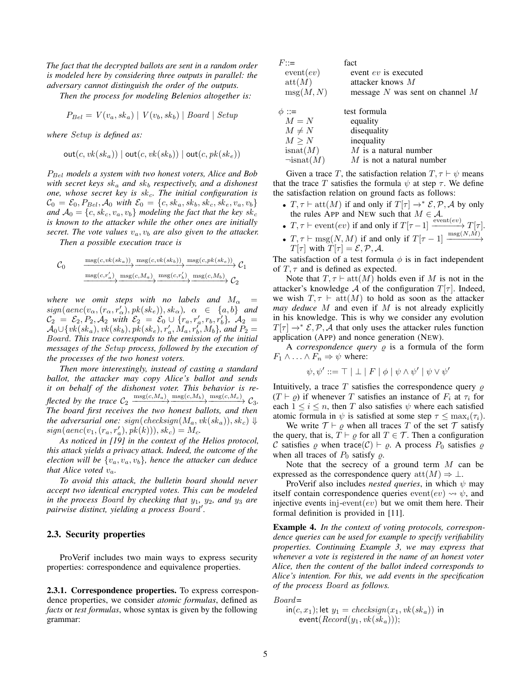*The fact that the decrypted ballots are sent in a random order is modeled here by considering three outputs in parallel: the adversary cannot distinguish the order of the outputs.*

*Then the process for modeling Belenios altogether is:*

$$
P_{Bel} = V(v_a, sk_a) | V(v_b, sk_b) | Board | Setup
$$

*where* Setup *is defined as:*

$$
\mathsf{out}(c,\mathit{vk}(\mathit{sk}_a)) \mid \mathsf{out}(c,\mathit{vk}(\mathit{sk}_b)) \mid \mathsf{out}(c,\mathit{pk}(\mathit{sk}_e))
$$

PBel *models a system with two honest voters, Alice and Bob with secret keys*  $sk_a$  *and*  $sk_b$  *respectively, and a dishonest one, whose secret key is sk<sub>c</sub>. The initial configuration is*  $\mathcal{C}_0 = \mathcal{E}_0, P_{Bel}, \mathcal{A}_0$  *with*  $\mathcal{E}_0 = \{c, sk_a, sk_b, sk_c, sk_e, v_a, v_b\}$ *and*  $A_0 = \{c, sk_c, v_a, v_b\}$  *modeling the fact that the key sk<sub>c</sub> is known to the attacker while the other ones are initially secret. The vote values*  $v_a$ ,  $v_b$  *are also given to the attacker.* 

*Then a possible execution trace is*

$$
C_0 \longrightarrow \frac{\text{msg}(c,vk(sk_a))}{\text{msg}(c,r'_a)} \xrightarrow{\text{msg}(c,vk(sk_b))} \frac{\text{msg}(c,pk(sk_e))}{\text{msg}(c,r'_b)} \xrightarrow{\text{msg}(c,M_b)} C_1
$$

*where we omit steps with no labels and*  $M_{\alpha}$  =  $sign(aenc(v_\alpha, (r_\alpha, r'_\alpha), pk(sk_e)), sk_\alpha), \alpha \in \{a, b\}$  and  $\mathcal{C}_2 = \mathcal{E}_2, P_2, \mathcal{A}_2 \text{ with } \mathcal{E}_2 = \mathcal{E}_0 \cup \{r_a, r'_a, r_b, r'_b\}, \mathcal{A}_2 =$  $\mathcal{A}_0 \cup \{ vk(sk_a), vk(sk_b), pk(sk_e), r'_a, \tilde{M}_a, r'_b, M_b\}$ , and  $P_2 =$ Board*. This trace corresponds to the emission of the initial messages of the* Setup *process, followed by the execution of the processes of the two honest voters.*

*Then more interestingly, instead of casting a standard ballot, the attacker may copy Alice's ballot and sends it on behalf of the dishonest voter. This behavior is re-* $\text{flected by the trace } \mathcal{C}_2 \xrightarrow{\text{msg}(c,M_a)} \xrightarrow{\text{msg}(c,M_b)} \xrightarrow{\text{msg}(c,M_c)} \mathcal{C}_3.$ *The board first receives the two honest ballots, and then the adversarial one:*  $sign(checksign(M_a, vk(sk_a)), sk_c) \Downarrow$  $sign(aenc(v_1, (r_a, r'_a), pk(k))), sk_c) = M_c.$ 

*As noticed in [19] in the context of the Helios protocol, this attack yields a privacy attack. Indeed, the outcome of the election will be*  $\{v_a, v_a, v_b\}$ *, hence the attacker can deduce that Alice voted*  $v_a$ *.* 

*To avoid this attack, the bulletin board should never accept two identical encrypted votes. This can be modeled in the process Board by checking that*  $y_1$ *,*  $y_2$ *<i>, and*  $y_3$  *are* pairwise distinct, yielding a process Board'.

#### 2.3. Security properties

ProVerif includes two main ways to express security properties: correspondence and equivalence properties.

2.3.1. Correspondence properties. To express correspondence properties, we consider *atomic formulas*, defined as *facts* or *test formulas*, whose syntax is given by the following grammar:

| $F^{-}$                 | fact                                |
|-------------------------|-------------------------------------|
| event(ev)               | event $ev$ is executed              |
| $\operatorname{att}(M)$ | attacker knows $M$                  |
| $\mathrm{msg}(M,N)$     | message $N$ was sent on channel $M$ |
|                         |                                     |
| $\phi ::=$              | test formula                        |

| $M = N$            | equality                    |
|--------------------|-----------------------------|
| $M \neq N$         | disequality                 |
| $M \geq N$         | inequality                  |
| isnat(M)           | $M$ is a natural number     |
| $\neg$ isnat $(M)$ | $M$ is not a natural number |

Given a trace T, the satisfaction relation  $T, \tau \vdash \psi$  means that the trace T satisfies the formula  $\psi$  at step  $\tau$ . We define the satisfaction relation on ground facts as follows:

- $T, \tau \vdash \text{att}(M)$  if and only if  $T[\tau] \rightarrow^* \mathcal{E}, \mathcal{P}, \mathcal{A}$  by only the rules APP and NEW such that  $M \in \mathcal{A}$ .
- $T, \tau \vdash \text{event}(ev) \text{ if and only if } T[\tau-1] \xrightarrow{\text{event}(ev)} T[\tau].$
- $T, \tau \vdash \text{msg}(N, M)$  if and only if  $T[\tau 1] \xrightarrow{\text{msg}(N, M)}$  $T[\tau]$  with  $T[\tau] = \mathcal{E}, \mathcal{P}, \mathcal{A}.$

The satisfaction of a test formula  $\phi$  is in fact independent of  $T, \tau$  and is defined as expected.

Note that  $T, \tau \vdash \text{att}(M)$  holds even if M is not in the attacker's knowledge A of the configuration  $T[\tau]$ . Indeed, we wish  $T, \tau \vdash \text{att}(M)$  to hold as soon as the attacker *may deduce* M and even if M is not already explicitly in his knowledge. This is why we consider any evolution  $T[\tau] \rightarrow^* \mathcal{E}, \mathcal{P}, \mathcal{A}$  that only uses the attacker rules function application (APP) and nonce generation (NEW).

A *correspondence query*  $\varrho$  is a formula of the form  $F_1 \wedge \ldots \wedge F_n \Rightarrow \psi$  where:

$$
\psi, \psi' ::= \top | \perp | F | \phi | \psi \wedge \psi' | \psi \vee \psi'
$$

Intuitively, a trace  $T$  satisfies the correspondence query  $\rho$  $(T \vdash \varrho)$  if whenever T satisfies an instance of  $F_i$  at  $\tau_i$  for each  $1 \leq i \leq n$ , then T also satisfies  $\psi$  where each satisfied atomic formula in  $\psi$  is satisfied at some step  $\tau \leq \max_i(\tau_i)$ .

We write  $\mathcal{T} \vdash \rho$  when all traces T of the set T satisfy the query, that is,  $T \vdash \varrho$  for all  $T \in \mathcal{T}$ . Then a configuration C satisfies  $\varrho$  when trace(C)  $\vdash \varrho$ . A process  $P_0$  satisfies  $\varrho$ when all traces of  $P_0$  satisfy  $\rho$ .

Note that the secrecy of a ground term M can be expressed as the correspondence query  $\text{att}(M) \Rightarrow \bot$ .

ProVerif also includes *nested queries*, in which  $\psi$  may itself contain correspondence queries  $event(ev) \rightsquigarrow \psi$ , and injective events inj-event $(ev)$  but we omit them here. Their formal definition is provided in [11].

Example 4. *In the context of voting protocols, correspondence queries can be used for example to specify verifiability properties. Continuing Example 3, we may express that whenever a vote is registered in the name of an honest voter Alice, then the content of the ballot indeed corresponds to Alice's intention. For this, we add events in the specification of the process* Board *as follows.*

Board*=*

$$
\text{in}(c, x_1); \text{let } y_1 = \text{checksign}(x_1, \text{vk}(sk_a)) \text{ in } \\ \text{event}(\text{Record}(y_1, \text{vk}(sk_a)));
$$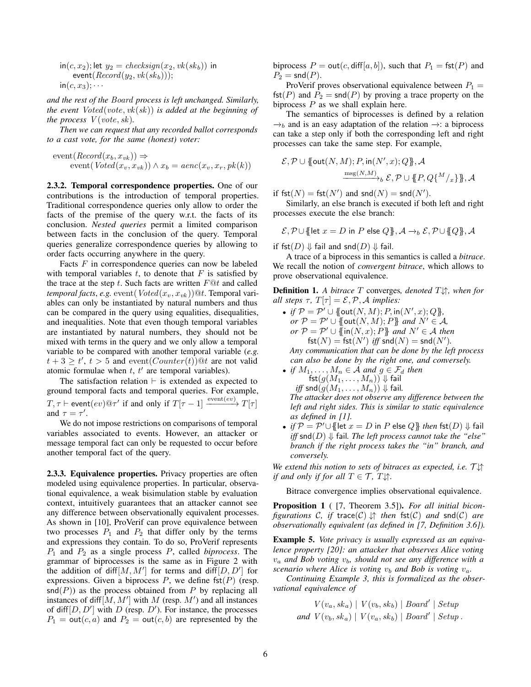in(c, x<sub>2</sub>); let 
$$
y_2
$$
 = *checksign*(x<sub>2</sub>, *vk*(sk<sub>b</sub>)) in  
event(*Record*(y<sub>2</sub>, *vk*(sk<sub>b</sub>)));  
in(c, x<sub>3</sub>);...

*and the rest of the* Board *process is left unchanged. Similarly, the event* Voted(vote, vk(sk)) *is added at the beginning of the process*  $V(vote, sk)$ *.* 

*Then we can request that any recorded ballot corresponds to a cast vote, for the same (honest) voter:*

$$
event(Record(x_b, x_{vk})) \Rightarrow
$$
  
event(Voted(x\_v, x\_{vk}))  $\land$  x<sub>b</sub> = aenc(x<sub>v</sub>, x<sub>r</sub>, pk(k))

2.3.2. Temporal correspondence properties. One of our contributions is the introduction of temporal properties. Traditional correspondence queries only allow to order the facts of the premise of the query w.r.t. the facts of its conclusion. *Nested queries* permit a limited comparison between facts in the conclusion of the query. Temporal queries generalize correspondence queries by allowing to order facts occurring anywhere in the query.

Facts  $F$  in correspondence queries can now be labeled with temporal variables  $t$ , to denote that  $F$  is satisfied by the trace at the step t. Such facts are written  $F@t$  and called *temporal facts, e.g.* event  $(Voted(x_v, x_{vk}))@t$ . Temporal variables can only be instantiated by natural numbers and thus can be compared in the query using equalities, disequalities, and inequalities. Note that even though temporal variables are instantiated by natural numbers, they should not be mixed with terms in the query and we only allow a temporal variable to be compared with another temporal variable (*e.g.*  $t + 3 \ge t'$ ,  $t > 5$  and event $(Counter(t))$ <sup>o</sup> are not valid atomic formulae when  $t$ ,  $t'$  are temporal variables).

The satisfaction relation  $\vdash$  is extended as expected to ground temporal facts and temporal queries. For example,  $T, \tau \vdash \text{event}(ev)@\tau'$  if and only if  $T[\tau-1] \xrightarrow{\text{event}(ev)} T[\tau]$ and  $\tau = \tau'$ .

We do not impose restrictions on comparisons of temporal variables associated to events. However, an attacker or message temporal fact can only be requested to occur before another temporal fact of the query.

2.3.3. Equivalence properties. Privacy properties are often modeled using equivalence properties. In particular, observational equivalence, a weak bisimulation stable by evaluation context, intuitively guarantees that an attacker cannot see any difference between observationally equivalent processes. As shown in [10], ProVerif can prove equivalence between two processes  $P_1$  and  $P_2$  that differ only by the terms and expressions they contain. To do so, ProVerif represents P<sup>1</sup> and P<sup>2</sup> as a single process P, called *biprocess*. The grammar of biprocesses is the same as in Figure 2 with the addition of diff $[M, M']$  for terms and diff $[D, D']$  for expressions. Given a biprocess  $P$ , we define fst $(P)$  (resp.  $\text{snd}(P)$ ) as the process obtained from P by replacing all instances of diff $[M, M']$  with M (resp. M') and all instances of diff $[D, D']$  with D (resp. D'). For instance, the processes  $P_1 = \text{out}(c, a)$  and  $P_2 = \text{out}(c, b)$  are represented by the

biprocess  $P = \text{out}(c, \text{diff}[a, b])$ , such that  $P_1 = \text{fst}(P)$  and  $P_2$  = snd $(P)$ .

ProVerif proves observational equivalence between  $P_1$  = fst(P) and  $\overline{P}_2$  = snd(P) by proving a trace property on the biprocess  $P$  as we shall explain here.

The semantics of biprocesses is defined by a relation  $\rightarrow_b$  and is an easy adaptation of the relation  $\rightarrow$ : a biprocess can take a step only if both the corresponding left and right processes can take the same step. For example,

$$
\mathcal{E}, \mathcal{P} \cup \{\text{out}(N, M); P, \text{in}(N', x); Q\}, \mathcal{A}
$$

$$
\xrightarrow{\text{msg}(N, M)} \mathcal{E}, \mathcal{P} \cup \{\!\!\{P, Q\}^M/\!\!\!/_{x}\}\!\!\}, \mathcal{A}
$$

if  $\mathsf{fst}(N) = \mathsf{fst}(N')$  and  $\mathsf{snd}(N) = \mathsf{snd}(N').$ 

Similarly, an else branch is executed if both left and right processes execute the else branch:

$$
\mathcal{E}, \mathcal{P} \cup \{\text{let } x = D \text{ in } P \text{ else } Q\}, \mathcal{A} \rightarrow_b \mathcal{E}, \mathcal{P} \cup \{Q\}, \mathcal{A}
$$

if fst $(D) \Downarrow$  fail and snd $(D) \Downarrow$  fail.

A trace of a biprocess in this semantics is called a *bitrace*. We recall the notion of *convergent bitrace*, which allows to prove observational equivalence.

Definition 1. *A bitrace* T converges*, denoted* T↓↑*, when for all steps*  $\tau$ ,  $T[\tau] = \mathcal{E}, \mathcal{P}, \mathcal{A}$  *implies:* 

- *if*  $\mathcal{P} = \mathcal{P}' \cup \{\{out(N, M); P, in(N', x); Q\}\},\}$ *or*  $\mathcal{P} = \mathcal{P}' \cup \overline{\{}$  out $(N, M); P\}$  *and*  $N' \in \mathcal{A}$ *,*  $or P = P' \cup \{ \text{in}(N, x); P \}$  *and*  $N' \in \mathcal{A}$  *then*  $fst(N) = st(N')$  *iff*  $snd(N) = snd(N')$ . *Any communication that can be done by the left process can also be done by the right one, and conversely.*
- *if*  $M_1, \ldots, M_n \in \mathcal{A}$  and  $g \in \mathcal{F}_d$  then fst $(g(M_1,\ldots,M_n))\Downarrow$  fail *iff* snd $(g(M_1, \ldots, M_n)) \Downarrow$  fail. *The attacker does not observe any difference between the left and right sides. This is similar to static equivalence as defined in [1].*
- *if*  $P = P' \cup \{\text{let } x = D \text{ in } P \text{ else } Q\}$  *then* fst $(D) \Downarrow$  fail *iff* snd( $D$ )  $\Downarrow$  fail. The left process cannot take the "else" *branch if the right process takes the "in" branch, and conversely.*

We extend this notion to sets of bitraces as expected, i.e.  $\mathcal{T} \downarrow \uparrow$ *if and only if for all*  $T \in \mathcal{T}$ *, T* $\downarrow$ *†.* 

Bitrace convergence implies observational equivalence.

Proposition 1 ( [7, Theorem 3.5]). *For all initial biconfigurations* C*, if* trace(C) ↓↑ *then* fst(C) *and* snd(C) *are observationally equivalent (as defined in [7, Definition 3.6]).*

Example 5. *Vote privacy is usually expressed as an equivalence property [20]: an attacker that observes Alice voting*  $v_a$  and Bob voting  $v_b$ , should not see any difference with a *scenario where Alice is voting*  $v_b$  *and Bob is voting*  $v_a$ *.* 

*Continuing Example 3, this is formalized as the observational equivalence of*

$$
V(v_a, sk_a) | V(v_b, sk_b) | Board' | Setup
$$
  
and 
$$
V(v_b, sk_a) | V(v_a, sk_b) | Board' | Setup.
$$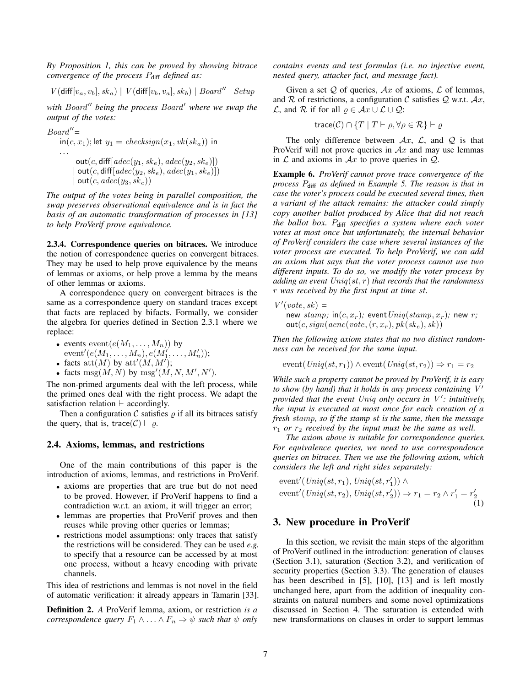*By Proposition 1, this can be proved by showing bitrace convergence of the process P<sub>diff</sub> defined as:* 

$$
V(\text{diff}[v_a, v_b], sk_a) \mid V(\text{diff}[v_b, v_a], sk_b) \mid Board'' \mid Setup
$$

*with Board*" *being the process Board' where we swap the output of the votes:*

$$
Board'' = \nint(c, x_1); let y_1 = checksum(x_1, vk(sk_a)) \nin\n \n... \n\begin{aligned}\n & \text{out}(c, \text{diff}[adec(y_1, sk_e), adec(y_2, sk_e)]) \\
 & | \text{out}(c, \text{diff}[adec(y_2, sk_e), adec(y_1, sk_e)]) \\
 & | \text{out}(c, adec(y_3, sk_e))\n \end{aligned}
$$

*The output of the votes being in parallel composition, the swap preserves observational equivalence and is in fact the basis of an automatic transformation of processes in [13] to help ProVerif prove equivalence.*

2.3.4. Correspondence queries on bitraces. We introduce the notion of correspondence queries on convergent bitraces. They may be used to help prove equivalence by the means of lemmas or axioms, or help prove a lemma by the means of other lemmas or axioms.

A correspondence query on convergent bitraces is the same as a correspondence query on standard traces except that facts are replaced by bifacts. Formally, we consider the algebra for queries defined in Section 2.3.1 where we replace:

- events  $event(e(M_1, \ldots, M_n))$  by
- ${\rm event'}(e(M_1,\ldots,M_n), e(M_1',\ldots,M_n'));$
- facts  $\text{att}(M)$  by  $\text{att}'(M, M')$ ;
- facts  $\text{msg}(M, N)$  by  $\text{msg}'(M, N, M', N')$ .

The non-primed arguments deal with the left process, while the primed ones deal with the right process. We adapt the satisfaction relation  $\vdash$  accordingly.

Then a configuration  $C$  satisfies  $\rho$  if all its bitraces satisfy the query, that is, trace( $C$ )  $\vdash \varrho$ .

#### 2.4. Axioms, lemmas, and restrictions

One of the main contributions of this paper is the introduction of axioms, lemmas, and restrictions in ProVerif.

- axioms are properties that are true but do not need to be proved. However, if ProVerif happens to find a contradiction w.r.t. an axiom, it will trigger an error;
- lemmas are properties that ProVerif proves and then reuses while proving other queries or lemmas;
- restrictions model assumptions: only traces that satisfy the restrictions will be considered. They can be used *e.g.* to specify that a resource can be accessed by at most one process, without a heavy encoding with private channels.

This idea of restrictions and lemmas is not novel in the field of automatic verification: it already appears in Tamarin [33].

Definition 2. *A* ProVerif lemma, axiom, or restriction *is a correspondence query*  $F_1 \wedge \ldots \wedge F_n \Rightarrow \psi$  *such that*  $\psi$  *only*  *contains events and test formulas (i.e. no injective event, nested query, attacker fact, and message fact).*

Given a set  $Q$  of queries,  $Ax$  of axioms,  $\mathcal L$  of lemmas, and R of restrictions, a configuration C satisfies Q w.r.t.  $Ax$ , *L*, and R if for all  $\varrho$  ∈  $Ax \cup L \cup Q$ :

$$
\text{trace}(\mathcal{C}) \cap \{T \mid T \vdash \rho, \forall \rho \in \mathcal{R}\} \vdash \varrho
$$

The only difference between  $Ax$ ,  $\mathcal{L}$ , and  $\mathcal{Q}$  is that ProVerif will not prove queries in  $Ax$  and may use lemmas in  $\mathcal L$  and axioms in  $\mathcal Ax$  to prove queries in  $\mathcal Q$ .

Example 6. *ProVerif cannot prove trace convergence of the process* Pdiff *as defined in Example 5. The reason is that in case the voter's process could be executed several times, then a variant of the attack remains: the attacker could simply copy another ballot produced by Alice that did not reach the ballot box.* Pdiff *specifies a system where each voter votes at most once but unfortunately, the internal behavior of ProVerif considers the case where several instances of the voter process are executed. To help ProVerif, we can add an axiom that says that the voter process cannot use two different inputs. To do so, we modify the voter process by adding an event* Uniq(st, r) *that records that the randomness* r *was received by the first input at time* st*.*

$$
V'(vote, sk) =
$$

new  $stamp$ ; in( $c$ ,  $x_r$ ); event  $Uniq(stamp, x_r)$ ; new r;  $out(c, sign(aenc(vote, (r, x_r), pk(ske), sk))$ 

*Then the following axiom states that no two distinct randomness can be received for the same input.*

$$
event(Uniq(st, r_1)) \wedge event(Uniq(st, r_2)) \Rightarrow r_1 = r_2
$$

*While such a property cannot be proved by ProVerif, it is easy to show (by hand) that it holds in any process containing*  $V'$ *provided that the event Uniq only occurs in V': intuitively, the input is executed at most once for each creation of a fresh* stamp*, so if the stamp* st *is the same, then the message*  $r_1$  *or*  $r_2$  *received by the input must be the same as well.* 

*The axiom above is suitable for correspondence queries. For equivalence queries, we need to use correspondence queries on bitraces. Then we use the following axiom, which considers the left and right sides separately:*

event' (Uniq(st, r<sub>1</sub>), Uniq(st, r'<sub>1</sub>)) 
$$
\land
$$
  
event' (Uniq(st, r<sub>2</sub>), Uniq(st, r'<sub>2</sub>))  $\Rightarrow$  r<sub>1</sub> = r<sub>2</sub>  $\land$  r'<sub>1</sub> = r'<sub>2</sub> (1)

## 3. New procedure in ProVerif

In this section, we revisit the main steps of the algorithm of ProVerif outlined in the introduction: generation of clauses (Section 3.1), saturation (Section 3.2), and verification of security properties (Section 3.3). The generation of clauses has been described in [5], [10], [13] and is left mostly unchanged here, apart from the addition of inequality constraints on natural numbers and some novel optimizations discussed in Section 4. The saturation is extended with new transformations on clauses in order to support lemmas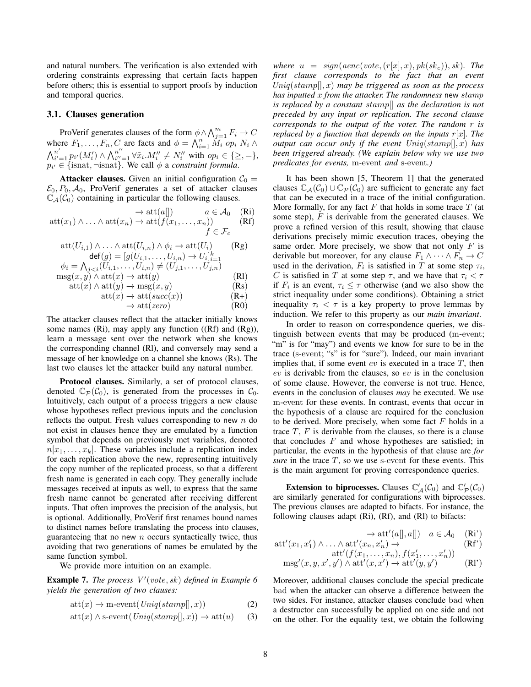and natural numbers. The verification is also extended with ordering constraints expressing that certain facts happen before others; this is essential to support proofs by induction and temporal queries.

#### 3.1. Clauses generation

ProVerif generates clauses of the form  $\phi \land \bigwedge_{j=1}^{m} F_i \to C$ where  $F_1, \ldots, F_n, C$  are facts and  $\phi = \bigwedge_{i=1}^n \overline{M_i}$  op<sub>i</sub>  $N_i \wedge$  $\bigwedge_{i'}^{n'}$  $\sum\limits_{i'=1}^{n'} p_{i'}(M'_i) \wedge \bigwedge\nolimits_{i''}^{n''}$  $\sum_{i'=1}^{n''} \forall \tilde{x}_i.M''_i \neq N''_i$  with  $op_i \in \{\geq,=\},$  $p_{i'} \in \{\text{isnat}, \neg \text{isnat}\}.$  We call  $\phi$  a *constraint formula*.

**Attacker clauses.** Given an initial configuration  $C_0$  =  $\mathcal{E}_0$ ,  $P_0$ ,  $\mathcal{A}_0$ , ProVerif generates a set of attacker clauses  $\mathbb{C}_{\mathcal{A}}(\mathcal{C}_0)$  containing in particular the following clauses.

$$
\rightarrow \text{att}(a[]) \qquad a \in \mathcal{A}_0 \quad \text{(Ri)}
$$
  
 
$$
\text{att}(x_1) \land \dots \land \text{att}(x_n) \rightarrow \text{att}(f(x_1, \dots, x_n)) \qquad \text{(Rf)}
$$
  
 
$$
f \in \mathcal{F}_c
$$

$$
att(U_{i,1}) \wedge \ldots \wedge att(U_{i,n}) \wedge \phi_i \rightarrow att(U_i) \qquad (\text{Rg})
$$
  
\n
$$
\text{def}(g) = [g(U_{i,1}, \ldots, U_{i,n}) \rightarrow U_i]_{i=1}^k
$$
  
\n
$$
\phi_i = \bigwedge_{j < i} (U_{i,1}, \ldots, U_{i,n}) \neq (U_{j,1}, \ldots, U_{j,n})
$$
  
\n
$$
msg(x, y) \wedge att(x) \rightarrow att(y)
$$
  
\n
$$
att(x) \wedge att(y) \rightarrow msg(x, y)
$$
  
\n
$$
(Rs)
$$

$$
att(x) \to att(succ(x))
$$
\n
$$
(R+)
$$
\n
$$
(R+)
$$
\n
$$
(R-)
$$
\n
$$
(R-)
$$

$$
\rightarrow \text{att}(zero) \tag{R0}
$$

The attacker clauses reflect that the attacker initially knows some names (Ri), may apply any function ((Rf) and (Rg)), learn a message sent over the network when she knows the corresponding channel (Rl), and conversely may send a message of her knowledge on a channel she knows (Rs). The last two clauses let the attacker build any natural number.

Protocol clauses. Similarly, a set of protocol clauses, denoted  $\mathbb{C}_{\mathcal{P}}(\mathcal{C}_0)$ , is generated from the processes in  $\mathcal{C}_0$ . Intuitively, each output of a process triggers a new clause whose hypotheses reflect previous inputs and the conclusion reflects the output. Fresh values corresponding to new  $n$  do not exist in clauses hence they are emulated by a function symbol that depends on previously met variables, denoted  $n[x_1, \ldots, x_k]$ . These variables include a replication index for each replication above the new, representing intuitively the copy number of the replicated process, so that a different fresh name is generated in each copy. They generally include messages received at inputs as well, to express that the same fresh name cannot be generated after receiving different inputs. That often improves the precision of the analysis, but is optional. Additionally, ProVerif first renames bound names to distinct names before translating the process into clauses, guaranteeing that no new  $n$  occurs syntactically twice, thus avoiding that two generations of names be emulated by the same function symbol.

We provide more intuition on an example.

**Example 7.** The process  $V'(vote, sk)$  defined in Example 6 *yields the generation of two clauses:*

$$
att(x) \to m\text{-event}(Uniq(stamp[], x))
$$
 (2)

$$
att(x) \land s\text{-event}(Uniq(stamp[], x)) \rightarrow att(u) \qquad (3)
$$

*where*  $u = sign(aenc(vote, (r[x], x), pk(sk_e)), sk)$ *. The first clause corresponds to the fact that an event* Uniq(stamp[], x) *may be triggered as soon as the process has inputted* x *from the attacker. The randomness* new stamp *is replaced by a constant* stamp[] *as the declaration is not preceded by any input or replication. The second clause corresponds to the output of the voter. The random* r *is replaced by a function that depends on the inputs*  $r[x]$ *. The output can occur only if the event* Uniq(stamp[], x) *has been triggered already. (We explain below why we use two predicates for events,* m*-*event *and* s*-*event*.)*

It has been shown [5, Theorem 1] that the generated clauses  $\mathbb{C}_{A}(\mathcal{C}_{0}) \cup \mathbb{C}_{\mathcal{P}}(\mathcal{C}_{0})$  are sufficient to generate any fact that can be executed in a trace of the initial configuration. More formally, for any fact  $F$  that holds in some trace  $T$  (at some step),  $F$  is derivable from the generated clauses. We prove a refined version of this result, showing that clause derivations precisely mimic execution traces, obeying the same order. More precisely, we show that not only  $F$  is derivable but moreover, for any clause  $F_1 \wedge \cdots \wedge F_n \rightarrow C$ used in the derivation,  $F_i$  is satisfied in T at some step  $\tau_i$ , C is satisfied in T at some step  $\tau$ , and we have that  $\tau_i < \tau$ if  $F_i$  is an event,  $\tau_i \leq \tau$  otherwise (and we also show the strict inequality under some conditions). Obtaining a strict inequality  $\tau_i < \tau$  is a key property to prove lemmas by induction. We refer to this property as our *main invariant*.

In order to reason on correspondence queries, we distinguish between events that may be produced (m-event; "m" is for "may") and events we know for sure to be in the trace (s-event; "s" is for "sure"). Indeed, our main invariant implies that, if some event  $ev$  is executed in a trace  $T$ , then ev is derivable from the clauses, so ev is in the conclusion of some clause. However, the converse is not true. Hence, events in the conclusion of clauses *may* be executed. We use m-event for these events. In contrast, events that occur in the hypothesis of a clause are required for the conclusion to be derived. More precisely, when some fact  $F$  holds in a trace  $T$ ,  $F$  is derivable from the clauses, so there is a clause that concludes  $F$  and whose hypotheses are satisfied; in particular, the events in the hypothesis of that clause are *for sure* in the trace  $T$ , so we use s-event for these events. This is the main argument for proving correspondence queries.

**Extension to biprocesses.** Clauses  $\mathbb{C}'_{\mathcal{A}}(\mathcal{C}_0)$  and  $\mathbb{C}'_{\mathcal{P}}(\mathcal{C}_0)$ are similarly generated for configurations with biprocesses. The previous clauses are adapted to bifacts. For instance, the following clauses adapt (Ri), (Rf), and (Rl) to bifacts:

$$
\rightarrow \text{att}'(a[], a[], a[]) \quad a \in \mathcal{A}_0 \quad (\mathbf{Ri}^*)
$$

$$
\operatorname{att}'(x_1, x_1') \wedge \ldots \wedge \operatorname{att}'(x_n, x_n') \to \operatorname{att}'(f(x_1, \ldots, x_n), f(x_1', \ldots, x_n'))
$$
 (Rf')

$$
msg'(x, y, x', y') \land att'(x, x') \to att'(y, y') \qquad (RI')
$$

Moreover, additional clauses conclude the special predicate bad when the attacker can observe a difference between the two sides. For instance, attacker clauses conclude bad when a destructor can successfully be applied on one side and not on the other. For the equality test, we obtain the following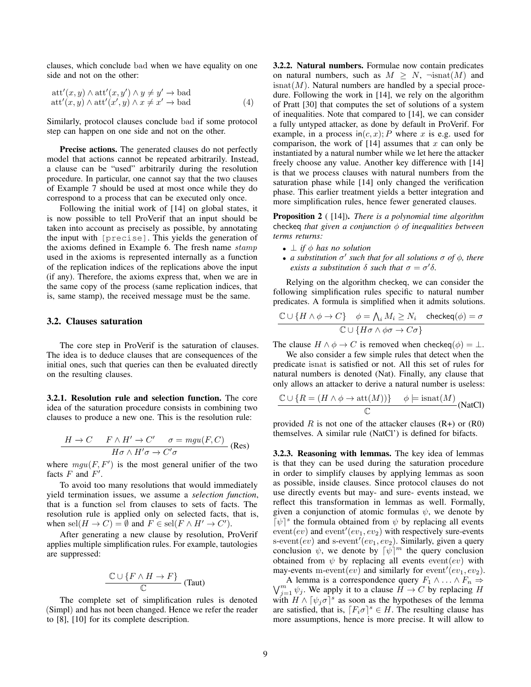clauses, which conclude bad when we have equality on one side and not on the other:

$$
att'(x, y) \wedge att'(x, y') \wedge y \neq y' \rightarrow bad att'(x, y) \wedge att'(x', y) \wedge x \neq x' \rightarrow bad
$$
 (4)

Similarly, protocol clauses conclude bad if some protocol step can happen on one side and not on the other.

Precise actions. The generated clauses do not perfectly model that actions cannot be repeated arbitrarily. Instead, a clause can be "used" arbitrarily during the resolution procedure. In particular, one cannot say that the two clauses of Example 7 should be used at most once while they do correspond to a process that can be executed only once.

Following the initial work of [14] on global states, it is now possible to tell ProVerif that an input should be taken into account as precisely as possible, by annotating the input with [precise]. This yields the generation of the axioms defined in Example 6. The fresh name stamp used in the axioms is represented internally as a function of the replication indices of the replications above the input (if any). Therefore, the axioms express that, when we are in the same copy of the process (same replication indices, that is, same stamp), the received message must be the same.

#### 3.2. Clauses saturation

The core step in ProVerif is the saturation of clauses. The idea is to deduce clauses that are consequences of the initial ones, such that queries can then be evaluated directly on the resulting clauses.

3.2.1. Resolution rule and selection function. The core idea of the saturation procedure consists in combining two clauses to produce a new one. This is the resolution rule:

$$
\frac{H \to C \qquad F \wedge H' \to C' \qquad \sigma = mgu(F, C)}{H \sigma \wedge H' \sigma \to C' \sigma}
$$
 (Res)

where  $mgu(F, F')$  is the most general unifier of the two facts  $F$  and  $F'$ .

To avoid too many resolutions that would immediately yield termination issues, we assume a *selection function*, that is a function sel from clauses to sets of facts. The resolution rule is applied only on selected facts, that is, when  $\mathrm{sel}(H \to C) = \emptyset$  and  $F \in \mathrm{sel}(F \land H' \to C')$ .

After generating a new clause by resolution, ProVerif applies multiple simplification rules. For example, tautologies are suppressed:

$$
\frac{\mathbb{C}\cup\{F\wedge H\to F\}}{\mathbb{C}}\text{ (Taut)}
$$

The complete set of simplification rules is denoted (Simpl) and has not been changed. Hence we refer the reader to [8], [10] for its complete description.

3.2.2. Natural numbers. Formulae now contain predicates on natural numbers, such as  $M > N$ ,  $\neg$ isnat $(M)$  and  $\mathrm{isnat}(M)$ . Natural numbers are handled by a special procedure. Following the work in [14], we rely on the algorithm of Pratt [30] that computes the set of solutions of a system of inequalities. Note that compared to [14], we can consider a fully untyped attacker, as done by default in ProVerif. For example, in a process in $(c, x)$ ; P where x is e.g. used for comparison, the work of  $[14]$  assumes that x can only be instantiated by a natural number while we let here the attacker freely choose any value. Another key difference with [14] is that we process clauses with natural numbers from the saturation phase while [14] only changed the verification phase. This earlier treatment yields a better integration and more simplification rules, hence fewer generated clauses.

Proposition 2 ( [14]). *There is a polynomial time algorithm* checkeq *that given a conjunction*  $\phi$  *of inequalities between terms returns:*

- $\perp$  *if*  $\phi$  *has no solution*
- **•** a substitution  $\sigma'$  such that for all solutions  $\sigma$  of  $\phi$ , there *exists a substitution*  $\delta$  *such that*  $\sigma = \sigma' \delta$ .

Relying on the algorithm checkeq, we can consider the following simplification rules specific to natural number predicates. A formula is simplified when it admits solutions.

$$
\frac{\mathbb{C}\cup\{H\wedge\phi\to C\}}{\mathbb{C}\cup\{H\sigma\wedge\phi\sigma\to C\sigma\}} \quad \frac{\phi=\bigwedge_i M_i\geq N_i \quad \text{checkeq}(\phi)=\sigma}{\mathbb{C}\cup\{H\sigma\wedge\phi\sigma\to C\sigma\}}
$$

The clause  $H \wedge \phi \rightarrow C$  is removed when checkeq( $\phi$ ) =  $\perp$ .

We also consider a few simple rules that detect when the predicate isnat is satisfied or not. All this set of rules for natural numbers is denoted (Nat). Finally, any clause that only allows an attacker to derive a natural number is useless:

$$
\frac{\mathbb{C} \cup \{R = (H \land \phi \to \text{att}(M))\}}{\mathbb{C}} \quad \phi \models \text{isnat}(M)
$$
(NatCl)

provided R is not one of the attacker clauses  $(R+)$  or  $(R0)$ themselves. A similar rule (NatCl') is defined for bifacts.

3.2.3. Reasoning with lemmas. The key idea of lemmas is that they can be used during the saturation procedure in order to simplify clauses by applying lemmas as soon as possible, inside clauses. Since protocol clauses do not use directly events but may- and sure- events instead, we reflect this transformation in lemmas as well. Formally, given a conjunction of atomic formulas  $\psi$ , we denote by  $\lceil \psi \rceil^s$  the formula obtained from  $\psi$  by replacing all events  $event(ev)$  and  $event'(ev_1, ev_2)$  with respectively sure-events s-event $(ev)$  and s-event' $(ev_1, ev_2)$ . Similarly, given a query conclusion  $\psi$ , we denote by  $\lceil \psi \rceil^m$  the query conclusion obtained from  $\psi$  by replacing all events event(ev) with may-events m-event $(ev)$  and similarly for event<sup> $r$ </sup> $(ev_1, ev_2)$ .

A lemma is a correspondence query  $F_1 \wedge ... \wedge F_n \Rightarrow$ <br> $\bigvee_{i=1}^m \psi_i$ . We apply it to a clause  $H \to C$  by replacing H  $j=1 \psi_j$ . We apply it to a clause  $H \to C$  by replacing H with  $H \wedge [\psi_j \sigma]^{s}$  as soon as the hypotheses of the lemma are satisfied, that is,  $[F_i \sigma]^s \in H$ . The resulting clause has more assumptions, hence is more precise. It will allow to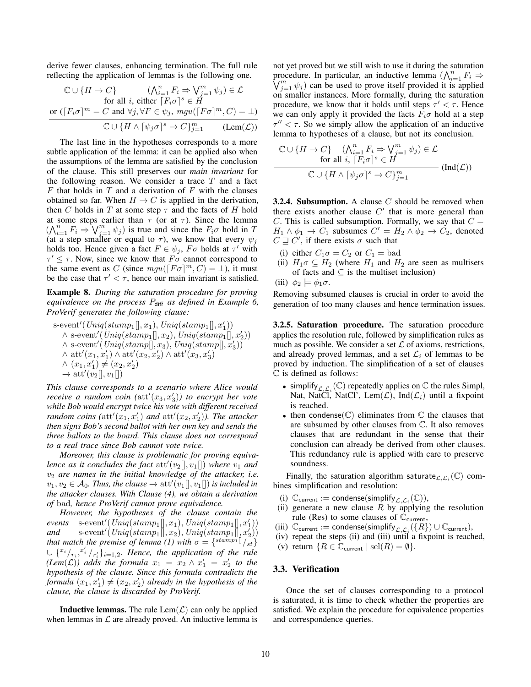derive fewer clauses, enhancing termination. The full rule reflecting the application of lemmas is the following one.

$$
\mathbb{C} \cup \{H \to C\} \qquad (\bigwedge_{i=1}^{n} F_i \Rightarrow \bigvee_{j=1}^{m} \psi_j) \in \mathcal{L}
$$
  
for all *i*, either  $\lceil F_i \sigma \rceil^s \in H$   
or  $(\lceil F_i \sigma \rceil^m = C$  and  $\forall j, \forall F \in \psi_j$ ,  $mgu(\lceil F \sigma \rceil^m, C) = \bot$ )  

$$
\mathbb{C} \cup \{H \land \lceil \psi_j \sigma \rceil^s \to C\}_{j=1}^{m} \qquad (\text{Lem}(\mathcal{L}))
$$

The last line in the hypotheses corresponds to a more subtle application of the lemma: it can be applied also when the assumptions of the lemma are satisfied by the conclusion of the clause. This still preserves our *main invariant* for the following reason. We consider a trace  $T$  and a fact  $F$  that holds in  $T$  and a derivation of  $F$  with the clauses obtained so far. When  $H \to C$  is applied in the derivation, then C holds in T at some step  $\tau$  and the facts of H hold at some steps earlier than  $\tau$  (or at  $\tau$ ). Since the lemma  $(\bigwedge_{i=1}^{n} F_i \Rightarrow \bigvee_{j=1}^{m} \psi_j)$  is true and since the  $F_i \sigma$  hold in T (at a step smaller or equal to  $\tau$ ), we know that every  $\psi_j$ holds too. Hence given a fact  $F \in \psi_j$ ,  $F \sigma$  holds at  $\tau'$  with  $\tau' \leq \tau$ . Now, since we know that  $F\sigma$  cannot correspond to the same event as C (since  $mgu(\lceil F\sigma \rceil^m, C) = \bot$ ), it must be the case that  $\tau' < \tau$ , hence our main invariant is satisfied.

Example 8. *During the saturation procedure for proving equivalence on the process* Pdiff *as defined in Example 6, ProVerif generates the following clause:*

 $s$ -event'(Uniq(stamp<sub>1</sub>[], x<sub>1</sub>), Uniq(stamp<sub>1</sub>[], x'<sub>1</sub>))  $\wedge$  s-event'( $\text{Uniq}(stamp_1[], x_2), \text{Uniq}(stamp_1[], x_2))$  $\wedge$  s-event'(Uniq(stamp[], x<sub>3</sub>), Uniq(stamp[], x<sub>3</sub>))  $\wedge \: \text{att}'(x_1, x_1') \wedge \text{att}'(x_2, x_2') \wedge \text{att}'(x_3, x_3')$  $\wedge$   $(x_1, x'_1) \neq (x_2, x'_2)$  $\rightarrow$  att' $(v_2[[, v_1]])$ 

*This clause corresponds to a scenario where Alice would receive a random coin (* $\text{att}'(x_3, x_3')$ *) to encrypt her vote while Bob would encrypt twice his vote with different received random coins*  $(\text{att}'(x_1, x_1')$  *and*  $\text{att}'(x_2, x_2'))$ *. The attacker then signs Bob's second ballot with her own key and sends the three ballots to the board. This clause does not correspond to a real trace since Bob cannot vote twice.*

*Moreover, this clause is problematic for proving equivalence as it concludes the fact*  $\text{att}'(v_2[], v_1[])$  where  $v_1$  and  $v_2$  are names in the initial knowledge of the attacker, i.e.  $v_1, v_2 \in \mathcal{A}_0$ . Thus, the clause  $\rightarrow$   $\mathrm{att}'(v_1[], v_1[])$  is included in *the attacker clauses. With Clause (4), we obtain a derivation of* bad*, hence ProVerif cannot prove equivalence.*

*However, the hypotheses of the clause contain the*  $events$  s-event'( $\text{Uniq}(stamp_1[], x_1), \text{Uniq}(stamp_1[], x'_1))$ *and* s-event'  $(Uniq(stamp_1[[, x_2), Uniq(stamp_1[[, x_2])$ *that match the premise of lemma* (1) with  $\sigma = \{^{\text{stamp1}} \mid \text{s} \}$  $\cup \{x_i \mid r_i, x'_i \mid r'_i\}_{i=1,2}$ . Hence, the application of the rule  $(Lem(\mathcal{L}))$  adds the formula  $x_1 = x_2 \wedge x_1' = x_2'$  to the *hypothesis of the clause. Since this formula contradicts the formula*  $(x_1, x_1') \neq (x_2, x_2')$  *already in the hypothesis of the clause, the clause is discarded by ProVerif.*

**Inductive lemmas.** The rule  $\text{Lem}(\mathcal{L})$  can only be applied when lemmas in  $\mathcal L$  are already proved. An inductive lemma is not yet proved but we still wish to use it during the saturation procedure. In particular, an inductive lemma  $(\bigwedge_{i=1}^{n} F_i \Rightarrow$  $\bigvee_{j=1}^{m} \psi_j$  can be used to prove itself provided it is applied on smaller instances. More formally, during the saturation procedure, we know that it holds until steps  $\tau' < \tau$ . Hence we can only apply it provided the facts  $F_i \sigma$  hold at a step  $\tau'' < \tau$ . So we simply allow the application of an inductive lemma to hypotheses of a clause, but not its conclusion.

$$
\mathbb{C} \cup \{H \to C\} \quad (\bigwedge_{i=1}^{n} F_i \Rightarrow \bigvee_{j=1}^{m} \psi_j) \in \mathcal{L}
$$
  
for all  $i, \ [F_i \sigma]^s \in H$   

$$
\mathbb{C} \cup \{H \land [\psi_j \sigma]^s \to C\}_{j=1}^{m}
$$
 (Ind( $\mathcal{L}$ ))

**3.2.4. Subsumption.** A clause  $C$  should be removed when there exists another clause  $C'$  that is more general than C. This is called subsumption. Formally, we say that  $C =$  $H_1 \wedge \phi_1 \rightarrow C_1$  subsumes  $C' = H_2 \wedge \phi_2 \rightarrow C_2$ , denoted  $C \sqsupseteq C'$ , if there exists  $\sigma$  such that

- (i) either  $C_1 \sigma = C_2$  or  $C_1 =$  bad
- (ii)  $H_1 \sigma \subseteq H_2$  (where  $H_1$  and  $H_2$  are seen as multisets of facts and  $\subseteq$  is the multiset inclusion)
- (iii)  $\phi_2 \models \phi_1 \sigma$ .

Removing subsumed clauses is crucial in order to avoid the generation of too many clauses and hence termination issues.

3.2.5. Saturation procedure. The saturation procedure applies the resolution rule, followed by simplification rules as much as possible. We consider a set  $\mathcal L$  of axioms, restrictions, and already proved lemmas, and a set  $\mathcal{L}_i$  of lemmas to be proved by induction. The simplification of a set of clauses C is defined as follows:

- simplify  $_{\mathcal{L}, \mathcal{L}_i}(\mathbb{C})$  repeatedly applies on  $\mathbb C$  the rules Simpl, Nat, NatCl, NatCl', Lem $(\mathcal{L})$ , Ind $(\mathcal{L}_i)$  until a fixpoint is reached.
- then condense $(\mathbb{C})$  eliminates from  $\mathbb C$  the clauses that are subsumed by other clauses from C. It also removes clauses that are redundant in the sense that their conclusion can already be derived from other clauses. This redundancy rule is applied with care to preserve soundness.

Finally, the saturation algorithm saturate $_{\mathcal{L},\mathcal{L}_i}(\mathbb{C})$  combines simplification and resolution:

- (i)  $\mathbb{C}_{\text{current}} := \text{condense}(\text{simplify}_{\mathcal{L}, \mathcal{L}_i}(\mathbb{C})),$
- (ii) generate a new clause  $R$  by applying the resolution rule (Res) to some clauses of  $\mathbb{C}_{\text{current}}$ ,
- (iii)  $\mathbb{C}_{\text{current}} := \text{condense}(\text{simplify}_{\mathcal{L}, \mathcal{L}_i}(\{R\}) \cup \mathbb{C}_{\text{current}}),$
- (iv) repeat the steps (ii) and (iii) until a fixpoint is reached,
- (v) return  $\{R \in \mathbb{C}_{\text{current}} \mid \text{sel}(R) = \emptyset\}.$

### 3.3. Verification

Once the set of clauses corresponding to a protocol is saturated, it is time to check whether the properties are satisfied. We explain the procedure for equivalence properties and correspondence queries.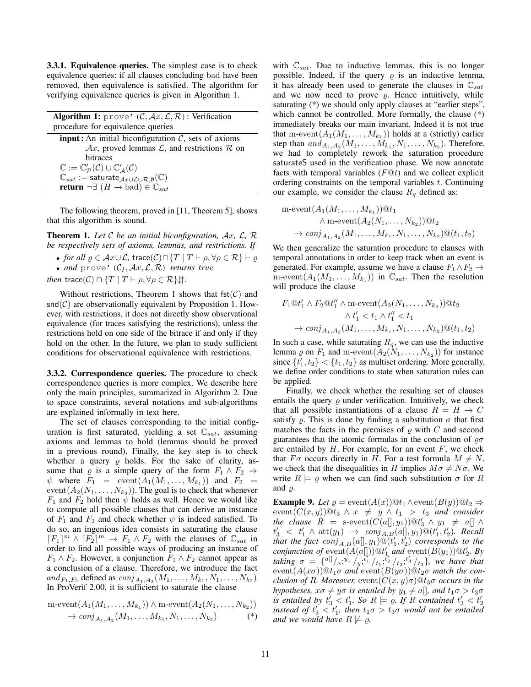3.3.1. Equivalence queries. The simplest case is to check equivalence queries: if all clauses concluding bad have been removed, then equivalence is satisfied. The algorithm for verifying equivalence queries is given in Algorithm 1.

| <b>Algorithm 1:</b> prove' $(C, Ax, \mathcal{L}, \mathcal{R})$ : Verification              |
|--------------------------------------------------------------------------------------------|
| procedure for equivalence queries                                                          |
| <b>input</b> : An initial biconfiguration $C$ , sets of axioms                             |
| $\mathcal{A}x$ , proved lemmas $\mathcal{L}$ , and restrictions $\mathcal{R}$ on           |
| <b>bitraces</b>                                                                            |
| $\mathbb{C} := \mathbb{C}_{\mathcal{P}}'(\mathcal{C}) \cup \mathbb{C}_{A}'(\mathcal{C})$   |
| $\mathbb{C}_{sat} :=$ saturate $_{Ax\cup\mathcal{L}\cup\mathcal{R},\emptyset}(\mathbb{C})$ |
| return $\neg \exists (H \rightarrow \text{bad}) \in \mathbb{C}_{sat}$                      |

The following theorem, proved in [11, Theorem 5], shows that this algorithm is sound.

Theorem 1. *Let* C *be an initial biconfiguration,* Ax*,* L*,* R *be respectively sets of axioms, lemmas, and restrictions. If*

• *for all*  $\varrho \in \mathcal{A}x \cup \mathcal{L}$ , trace $(\mathcal{C}) \cap \{T \mid T \vdash \rho, \forall \rho \in \mathcal{R}\} \vdash \varrho$ 

• *and* prove'  $(C_I, \mathcal{A}x, \mathcal{L}, \mathcal{R})$  *returns true* 

*then* trace(C)  $\cap$  { $T | T \vdash \rho, \forall \rho \in \mathcal{R}$  } $\downarrow$ .

Without restrictions, Theorem 1 shows that fst $(C)$  and  $\mathsf{snd}(\mathcal{C})$  are observationally equivalent by Proposition 1. However, with restrictions, it does not directly show observational equivalence (for traces satisfying the restrictions), unless the restrictions hold on one side of the bitrace if and only if they hold on the other. In the future, we plan to study sufficient conditions for observational equivalence with restrictions.

3.3.2. Correspondence queries. The procedure to check correspondence queries is more complex. We describe here only the main principles, summarized in Algorithm 2. Due to space constraints, several notations and sub-algorithms are explained informally in text here.

The set of clauses corresponding to the initial configuration is first saturated, yielding a set  $\mathbb{C}_{sat}$ , assuming axioms and lemmas to hold (lemmas should be proved in a previous round). Finally, the key step is to check whether a query  $\rho$  holds. For the sake of clarity, assume that  $\varrho$  is a simple query of the form  $F_1 \wedge F_2 \Rightarrow$  $\psi$  where  $F_1 = \text{event}(A_1(M_1, \ldots, M_{k_1}))$  and  $F_2 =$  $event(A_2(N_1, \ldots, N_{k_2}))$ . The goal is to check that whenever  $F_1$  and  $F_2$  hold then  $\psi$  holds as well. Hence we would like to compute all possible clauses that can derive an instance of  $F_1$  and  $F_2$  and check whether  $\psi$  is indeed satisfied. To do so, an ingenious idea consists in saturating the clause  $[F_1]^m \wedge [F_2]^m \rightarrow F_1 \wedge F_2$  with the clauses of  $\mathbb{C}_{sat}$  in order to find all possible ways of producing an instance of  $F_1 \wedge F_2$ . However, a conjunction  $F_1 \wedge F_2$  cannot appear as a conclusion of a clause. Therefore, we introduce the fact and  $F_1, F_2$  defined as  $conj_{A_1, A_2}(M_1, \ldots, M_{k_1}, N_1, \ldots, N_{k_2}).$ In ProVerif 2.00, it is sufficient to saturate the clause

$$
\begin{array}{l} \n\text{m-event}(A_1(M_1, \ldots, M_{k_1})) \land \text{m-event}(A_2(N_1, \ldots, N_{k_2})) \\
\to \text{conj}_{A_1, A_2}(M_1, \ldots, M_{k_1}, N_1, \ldots, N_{k_2})\n\end{array} (*)
$$

with  $\mathbb{C}_{sat}$ . Due to inductive lemmas, this is no longer possible. Indeed, if the query  $\rho$  is an inductive lemma, it has already been used to generate the clauses in  $\mathbb{C}_{sat}$ and we now need to prove  $\varrho$ . Hence intuitively, while saturating (\*) we should only apply clauses at "earlier steps", which cannot be controlled. More formally, the clause (\*) immediately breaks our main invariant. Indeed it is not true that m-event $(A_1(M_1, \ldots, M_{k_1}))$  holds at a (strictly) earlier step than  $and_{A_1,A_2}(M_1,\ldots,M_{k_1},N_1,\ldots,N_{k_2})$ . Therefore, we had to completely rework the saturation procedure saturateS used in the verification phase. We now annotate facts with temporal variables  $(F@t)$  and we collect explicit ordering constraints on the temporal variables t. Continuing our example, we consider the clause  $R_q$  defined as:

$$
\begin{aligned}\n\text{m-event}(A_1(M_1, \dots, M_{k_1})) @ t_1 \\
\wedge \text{m-event}(A_2(N_1, \dots, N_{k_2})) @ t_2 \\
\to \text{conj}_{A_1, A_2}(M_1, \dots, M_{k_1}, N_1, \dots, N_{k_2}) @ (t_1, t_2)\n\end{aligned}
$$

We then generalize the saturation procedure to clauses with temporal annotations in order to keep track when an event is generated. For example, assume we have a clause  $F_1 \wedge F_2 \rightarrow$ m-event $(A_1(M_1,\ldots,M_{k_1}))$  in  $\mathbb{C}_{sat}$ . Then the resolution will produce the clause

$$
F_1@t'_1 \wedge F_2@t''_1 \wedge \text{m-event}(A_2(N_1, \dots, N_{k_2}))@t_2
$$
  
 
$$
\wedge t'_1 < t_1 \wedge t''_1 < t_1
$$
  
 
$$
\rightarrow conj_{A_1, A_2}(M_1, \dots, M_{k_1}, N_1, \dots, N_{k_2})@(t_1, t_2)
$$

In such a case, while saturating  $R_q$ , we can use the inductive lemma  $\varrho$  on  $F_1$  and m-event $(A_2(N_1, \ldots, N_{k_2}))$  for instance since  $\{t'_1, t_2\} < \{t_1, t_2\}$  as multiset ordering. More generally, we define order conditions to state when saturation rules can be applied.

Finally, we check whether the resulting set of clauses entails the query  $\rho$  under verification. Intuitively, we check that all possible instantiations of a clause  $R = H \rightarrow C$ satisfy  $\varrho$ . This is done by finding a substitution  $\sigma$  that first matches the facts in the premises of  $\rho$  with C and second guarantees that the atomic formulas in the conclusion of  $\rho\sigma$ are entailed by  $H$ . For example, for an event  $F$ , we check that  $F\sigma$  occurs directly in H. For a test formula  $M \neq N$ , we check that the disequalities in H implies  $M\sigma \neq N\sigma$ . We write  $R \models \rho$  when we can find such substitution  $\sigma$  for R and  $\rho$ .

**Example 9.** Let  $\varrho = \text{event}(A(x))@t_1 \wedge \text{event}(B(y))@t_2 \Rightarrow$  $event(C(x, y))@t_3 \wedge x \neq y \wedge t_1 > t_3$  *and consider the clause*  $R =$  s-event $(C(a[], y_1))@t'_3 \wedge y_1 \neq a[] \wedge$  $t'_3$  <  $t'_1 \wedge \text{att}(y_1) \rightarrow \text{conj}_{A,B}(a[[, y_1) \overset{\frown}{\omega}(t'_1, t'_2)$ . Recall that the fact  $\overline{conj}_{A,B}(a[], y_1)@ (t'_1, t'_2)$  corresponds to the *conjunction of* event $(A(a[]))@t'_1$  *and* event $(B(y_1))@t'_2$ . By *taking*  $\sigma = \{a^{[]}(x^{;y_1}/y^{;y_1/2}/t_1; t_2/2/t_2; t_3/2/t_3\},\$  we have that event $(A(x\sigma))@t_1\sigma$  *and* event $(B(y\sigma))@t_2\sigma$  *match the conclusion of R. Moreover,* event $(C(x, y)\sigma)$ @t<sub>3</sub> $\sigma$  *occurs in the hypotheses,*  $x\sigma \neq y\sigma$  *is entailed by*  $y_1 \neq a$ *], and*  $t_1\sigma > t_3\sigma$ *is entailed by*  $t'_3 < t'_1$ *. So R*  $\models$  *e. If R contained*  $t'_3 < t'_2$ *instead of*  $t'_3 < t'_1$ , then  $t_1\sigma > t_3\sigma$  would not be entailed *and we would have*  $R \not\models \varrho$ .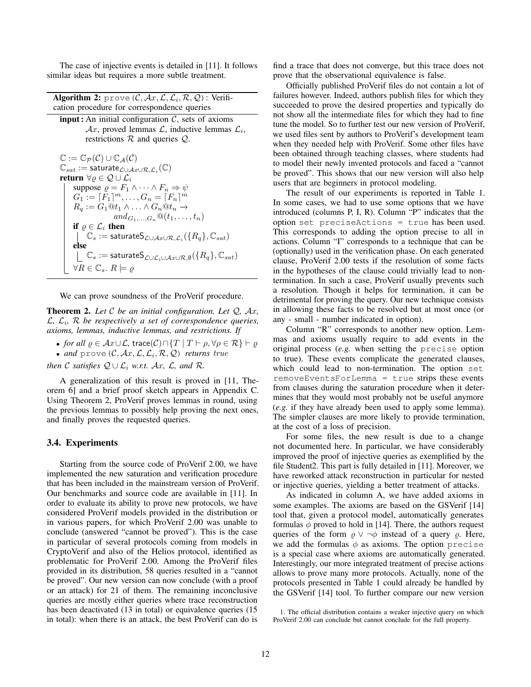The case of injective events is detailed in [11]. It follows similar ideas but requires a more subtle treatment.

| <b>Algorithm 2:</b> prove $(C, Ax, \mathcal{L}, \mathcal{L}_i, \mathcal{R}, \mathcal{Q})$ : Verifi- |  |
|-----------------------------------------------------------------------------------------------------|--|
| cation procedure for correspondence queries                                                         |  |

**input**: An initial configuration  $C$ , sets of axioms  $\mathcal{A}x$ , proved lemmas  $\mathcal{L}$ , inductive lemmas  $\mathcal{L}_i$ , restrictions  $R$  and queries  $Q$ .

$$
\mathbb{C} := \mathbb{C}_{\mathcal{P}}(\mathcal{C}) \cup \mathbb{C}_{\mathcal{A}}(\mathcal{C})
$$
\n
$$
\mathbb{C}_{sat} := \text{saturate}_{\mathcal{L} \cup \mathcal{A} \times \cup \mathcal{R}, \mathcal{L}_i}(\mathbb{C})
$$
\nreturn  $\forall \varrho \in \mathcal{Q} \cup \mathcal{L}_i$   
\n
$$
\begin{array}{c}\n\text{suppose } \varrho = F_1 \land \dots \land F_n \Rightarrow \psi \\
G_1 := [F_1]^m, \dots, G_n = [F_n]^m \\
R_q := G_1 @ t_1 \land \dots \land G_n @ t_n \rightarrow \\
\text{and } G_1, \dots, G_n @ (t_1, \dots, t_n)\n\end{array}
$$
\nif  $\varrho \in \mathcal{L}_i$  then  
\n
$$
\begin{array}{c}\n\bigcup_{s} \in \mathcal{L}_i \text{ then } \\
\bigcup_{s} \in \mathcal{L}_s := \text{saturate} \mathsf{S}_{\mathcal{L} \cup \mathcal{A} \times \cup \mathcal{R}, \mathcal{L}_i}(\{R_q\}, \mathbb{C}_{sat}) \\
\text{else } \\
\bigcup_{s} \in \mathbb{C}_s := \text{saturate} \mathsf{S}_{\mathcal{L} \cup \mathcal{L}_i \cup \mathcal{A} \times \cup \mathcal{R}, \emptyset}(\{R_q\}, \mathbb{C}_{sat}) \\
\forall R \in \mathbb{C}_s, R \models \varrho\n\end{array}
$$

We can prove soundness of the ProVerif procedure.

Theorem 2. *Let* C *be an initial configuration. Let* Q*,* Ax*,* L*,* L<sup>i</sup> *,* R *be respectively a set of correspondence queries, axioms, lemmas, inductive lemmas, and restrictions. If*

• *for all*  $\rho \in Ax \cup L$ , trace $(C) \cap \{T \mid T \vdash \rho, \forall \rho \in \mathcal{R} \} \vdash \rho$ 

 $\bullet$  and  $\text{prove } (\mathcal{C}, \mathcal{A}x, \mathcal{L}, \mathcal{L}_i, \mathcal{R}, \mathcal{Q})$  *returns true* 

*then* C *satisfies*  $Q \cup L_i$  *w.r.t.*  $Ax$ *,*  $L$ *, and*  $R$ *.* 

A generalization of this result is proved in [11, Theorem 6] and a brief proof sketch appears in Appendix C. Using Theorem 2, ProVerif proves lemmas in round, using the previous lemmas to possibly help proving the next ones, and finally proves the requested queries.

## 3.4. Experiments

Starting from the source code of ProVerif 2.00, we have implemented the new saturation and verification procedure that has been included in the mainstream version of ProVerif. Our benchmarks and source code are available in [11]. In order to evaluate its ability to prove new protocols, we have considered ProVerif models provided in the distribution or in various papers, for which ProVerif 2.00 was unable to conclude (answered "cannot be proved"). This is the case in particular of several protocols coming from models in CryptoVerif and also of the Helios protocol, identified as problematic for ProVerif 2.00. Among the ProVerif files provided in its distribution, 58 queries resulted in a "cannot be proved". Our new version can now conclude (with a proof or an attack) for 21 of them. The remaining inconclusive queries are mostly either queries where trace reconstruction has been deactivated (13 in total) or equivalence queries (15 in total): when there is an attack, the best ProVerif can do is

find a trace that does not converge, but this trace does not prove that the observational equivalence is false.

Officially published ProVerif files do not contain a lot of failures however. Indeed, authors publish files for which they succeeded to prove the desired properties and typically do not show all the intermediate files for which they had to fine tune the model. So to further test our new version of ProVerif, we used files sent by authors to ProVerif's development team when they needed help with ProVerif. Some other files have been obtained through teaching classes, where students had to model their newly invented protocols and faced a "cannot be proved". This shows that our new version will also help users that are beginners in protocol modeling.

The result of our experiments is reported in Table 1. In some cases, we had to use some options that we have introduced (columns P, I, R). Column "P" indicates that the option set preciseActions = true has been used. This corresponds to adding the option precise to all in actions. Column "I" corresponds to a technique that can be (optionally) used in the verification phase. On each generated clause, ProVerif 2.00 tests if the resolution of some facts in the hypotheses of the clause could trivially lead to nontermination. In such a case, ProVerif usually prevents such a resolution. Though it helps for termination, it can be detrimental for proving the query. Our new technique consists in allowing these facts to be resolved but at most once (or any - small - number indicated in option).

Column "R" corresponds to another new option. Lemmas and axioms usually require to add events in the original process (*e.g.* when setting the precise option to true). These events complicate the generated clauses, which could lead to non-termination. The option set removeEventsForLemma = true strips these events from clauses during the saturation procedure when it determines that they would most probably not be useful anymore (*e.g.* if they have already been used to apply some lemma). The simpler clauses are more likely to provide termination, at the cost of a loss of precision.

For some files, the new result is due to a change not documented here. In particular, we have considerably improved the proof of injective queries as exemplified by the file Student2. This part is fully detailed in [11]. Moreover, we have reworked attack reconstruction in particular for nested or injective queries, yielding a better treatment of attacks.

As indicated in column A, we have added axioms in some examples. The axioms are based on the GSVerif [14] tool that, given a protocol model, automatically generates formulas  $\phi$  proved to hold in [14]. There, the authors request queries of the form  $\rho \lor \neg \phi$  instead of a query  $\rho$ . Here, we add the formulas  $\phi$  as axioms. The option precise is a special case where axioms are automatically generated. Interestingly, our more integrated treatment of precise actions allows to prove many more protocols. Actually, none of the protocols presented in Table 1 could already be handled by the GSVerif [14] tool. To further compare our new version

<sup>1.</sup> The official distribution contains a weaker injective query on which ProVerif 2.00 can conclude but cannot conclude for the full property.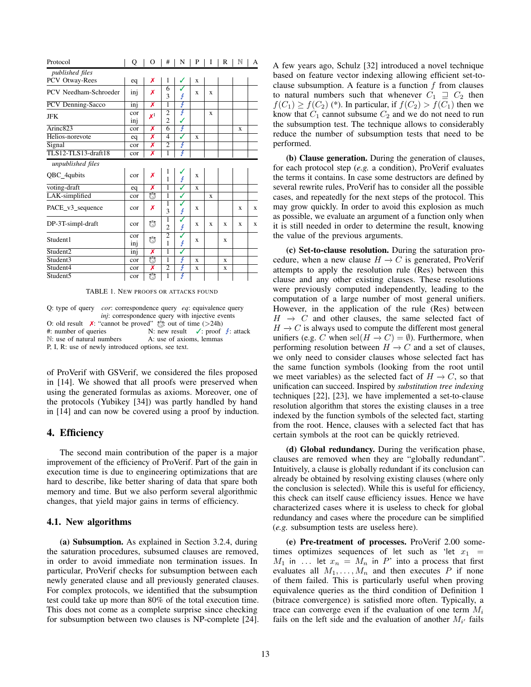| Protocol                     | Q          | О                       | #                   | N      | P           | 1 | R           | N | A |
|------------------------------|------------|-------------------------|---------------------|--------|-------------|---|-------------|---|---|
| published files              |            |                         |                     |        |             |   |             |   |   |
| PCV Otway-Rees               | eq         | Х                       | 1                   | ✓      | X           |   |             |   |   |
| PCV Needham-Schroeder        | inj        | Х                       | 6<br>3              | J<br>Ł | X           | X |             |   |   |
| PCV Denning-Sacco            | inj        | X                       | 1                   | Ŧ      |             |   |             |   |   |
| <b>JFK</b>                   | cor<br>inj | $\mathsf{x}^1$          | 2<br>$\overline{2}$ | F<br>✓ |             | X |             |   |   |
| $\overline{\text{Arinc}}823$ | cor        | Х                       | 6                   | F      |             |   |             | X |   |
| Helios-norevote              | eq         | X                       | $\overline{4}$      | ℐ      | $\mathbf x$ |   |             |   |   |
| Signal                       | cor        | Х                       | $\overline{2}$      | ł      |             |   |             |   |   |
| TLS12-TLS13-draft18          | cor        | X                       | $\mathbf{1}$        | ł      |             |   |             |   |   |
| unpublished files            |            |                         |                     |        |             |   |             |   |   |
| QBC_4qubits                  | cor        | Х                       | l<br>1              | Ł      | X           |   |             |   |   |
| voting-draft                 | eq         | Х                       | 1                   | J      | X           |   |             |   |   |
| LAK-simplified               | cor        | $\overline{\mathbb{C}}$ | 1                   | ✓      |             | X |             |   |   |
| PACE_v3_sequence             | cor        | Х                       | 1<br>3              | ✓<br>Ł | X           |   |             | X | X |
| DP-3T-simpl-draft            | cor        | Ò                       | 1<br>$\overline{c}$ | ✓<br>Ł | X           | X | X           | X | X |
| Student1                     | cor<br>inj | Ò                       | $\overline{c}$<br>1 | ✓<br>Ł | X           |   | X           |   |   |
| Student <sub>2</sub>         | inj        | Х                       | 1                   | ✓      |             |   |             |   |   |
| Student3                     | cor        | Ö                       | 1                   | Ł      | X           |   | $\mathbf x$ |   |   |
| Student4                     | cor        | X                       | $\overline{2}$      | ł      | X           |   | X           |   |   |
| Student5                     | cor        | $\overline{\mathbb{C}}$ | $\mathbf{1}$        | Ł      |             |   |             |   |   |

TABLE 1. NEW PROOFS OR ATTACKS FOUND

|                                                                              | Q: type of query <i>cor</i> : correspondence query <i>eq</i> : equivalence query |  |  |  |  |
|------------------------------------------------------------------------------|----------------------------------------------------------------------------------|--|--|--|--|
|                                                                              | <i>inj</i> : correspondence query with injective events                          |  |  |  |  |
| O: old result $\chi$ : "cannot be proved" $\frac{1}{2}$ : out of time (>24h) |                                                                                  |  |  |  |  |
| $#$ : number of queries                                                      | N: new result $\checkmark$ : proof $\check{z}$ : attack                          |  |  |  |  |
| $\mathbb{N}$ : use of natural numbers<br>A: use of axioms, lemmas            |                                                                                  |  |  |  |  |
| P, I, R: use of newly introduced options, see text.                          |                                                                                  |  |  |  |  |

of ProVerif with GSVerif, we considered the files proposed in [14]. We showed that all proofs were preserved when using the generated formulas as axioms. Moreover, one of the protocols (Yubikey [34]) was partly handled by hand in [14] and can now be covered using a proof by induction.

#### 4. Efficiency

The second main contribution of the paper is a major improvement of the efficiency of ProVerif. Part of the gain in execution time is due to engineering optimizations that are hard to describe, like better sharing of data that spare both memory and time. But we also perform several algorithmic changes, that yield major gains in terms of efficiency.

#### 4.1. New algorithms

(a) Subsumption. As explained in Section 3.2.4, during the saturation procedures, subsumed clauses are removed, in order to avoid immediate non termination issues. In particular, ProVerif checks for subsumption between each newly generated clause and all previously generated clauses. For complex protocols, we identified that the subsumption test could take up more than 80% of the total execution time. This does not come as a complete surprise since checking for subsumption between two clauses is NP-complete [24].

A few years ago, Schulz [32] introduced a novel technique based on feature vector indexing allowing efficient set-toclause subsumption. A feature is a function  $f$  from clauses to natural numbers such that whenever  $C_1 \supseteq C_2$  then  $f(C_1) \ge f(C_2)$  (\*). In particular, if  $f(C_2) > f(C_1)$  then we know that  $C_1$  cannot subsume  $C_2$  and we do not need to run the subsumption test. The technique allows to considerably reduce the number of subsumption tests that need to be performed.

(b) Clause generation. During the generation of clauses, for each protocol step (*e.g.* a condition), ProVerif evaluates the terms it contains. In case some destructors are defined by several rewrite rules, ProVerif has to consider all the possible cases, and repeatedly for the next steps of the protocol. This may grow quickly. In order to avoid this explosion as much as possible, we evaluate an argument of a function only when it is still needed in order to determine the result, knowing the value of the previous arguments.

(c) Set-to-clause resolution. During the saturation procedure, when a new clause  $H \to C$  is generated, ProVerif attempts to apply the resolution rule (Res) between this clause and any other existing clauses. These resolutions were previously computed independently, leading to the computation of a large number of most general unifiers. However, in the application of the rule (Res) between  $H \rightarrow C$  and other clauses, the same selected fact of  $H \rightarrow C$  is always used to compute the different most general unifiers (e.g. C when sel $(H \to C) = \emptyset$ ). Furthermore, when performing resolution between  $H \to C$  and a set of clauses, we only need to consider clauses whose selected fact has the same function symbols (looking from the root until we meet variables) as the selected fact of  $H \to C$ , so that unification can succeed. Inspired by *substitution tree indexing* techniques [22], [23], we have implemented a set-to-clause resolution algorithm that stores the existing clauses in a tree indexed by the function symbols of the selected fact, starting from the root. Hence, clauses with a selected fact that has certain symbols at the root can be quickly retrieved.

(d) Global redundancy. During the verification phase, clauses are removed when they are "globally redundant". Intuitively, a clause is globally redundant if its conclusion can already be obtained by resolving existing clauses (where only the conclusion is selected). While this is useful for efficiency, this check can itself cause efficiency issues. Hence we have characterized cases where it is useless to check for global redundancy and cases where the procedure can be simplified (*e.g.* subsumption tests are useless here).

(e) Pre-treatment of processes. ProVerif 2.00 sometimes optimizes sequences of let such as 'let  $x_1$  =  $M_1$  in ... let  $x_n = M_n$  in P' into a process that first evaluates all  $M_1, \ldots, M_n$  and then executes P if none of them failed. This is particularly useful when proving equivalence queries as the third condition of Definition 1 (bitrace convergence) is satisfied more often. Typically, a trace can converge even if the evaluation of one term  $M_i$ fails on the left side and the evaluation of another  $M_{i'}$  fails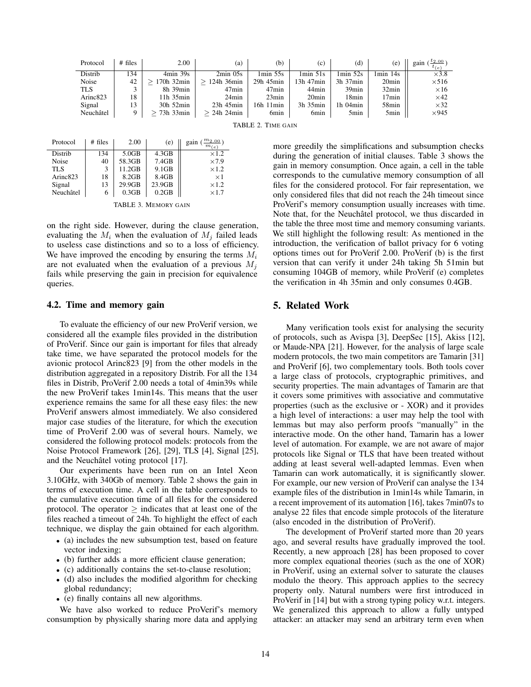| Protocol             | $#$ files | 2.00           | (a)              | (b)               | (c)               | (d)              | (e)               | $t_{2.00}$<br>gain<br>$t_{(e)}$ |
|----------------------|-----------|----------------|------------------|-------------------|-------------------|------------------|-------------------|---------------------------------|
| Distrib              | 134       | $4min$ 39s     | $2min$ 05s       | $1min$ 55s        | $1min$ 51s        | $1min$ 52s       | 1min 14s          | $\times$ 3.8                    |
| Noise                | 42        | 170h 32min     | 124h 36min       | 29h 45min         | 13h 47min         | $3h$ 37 $min$    | 20 <sub>min</sub> | $\times$ 516                    |
| <b>TLS</b>           |           | 8h 39min       | 47min            | 47 <sub>min</sub> | 44 <sub>min</sub> | $39$ min         | 32min             | $\times 16$                     |
| Arinc <sub>823</sub> | 18        | $11h$ 35 $min$ | 24min            | 23min             | 20 <sub>min</sub> | 18min            | 17min             | $\times$ 42                     |
| Signal               | 13        | 30h 52min      | $23h$ 45 $min$   | 16h 11min         | 3h 35min          | $1h$ 04 $min$    | 58 <sub>min</sub> | $\times$ 32                     |
| Neuchâtel            | 9         | 73h 33min      | $> 24h$ 24 $min$ | 6 <sub>min</sub>  | 6 <sub>min</sub>  | 5 <sub>min</sub> | 5min              | $\times$ 945                    |
| TABLE 2. TIME GAIN   |           |                |                  |                   |                   |                  |                   |                                 |

| Protocol             | $#$ files | 2.00   | (e)    | gain<br>$m_{(e)}$ |
|----------------------|-----------|--------|--------|-------------------|
| Distrib              | 134       | 5.0GB  | 4.3GB  | $\times$ 1.2      |
| Noise                | 40        | 58.3GB | 7.4GB  | $\times$ 7.9      |
| <b>TLS</b>           | 3         | 11.2GB | 9.1GB  | $\times$ 1.2      |
| Arinc <sub>823</sub> | 18        | 8.2GB  | 8.4GB  | $\times$ 1        |
| Signal               | 13        | 29.9GB | 23.9GB | $\times$ 1.2      |
| Neuchâtel            | 6         | 0.3GB  | 0.2GB  | $\times1.7$       |
|                      |           |        |        |                   |

TABLE 3. MEMORY GAIN

on the right side. However, during the clause generation, evaluating the  $M_i$  when the evaluation of  $M_i$  failed leads to useless case distinctions and so to a loss of efficiency. We have improved the encoding by ensuring the terms  $M_i$ are not evaluated when the evaluation of a previous  $M_i$ fails while preserving the gain in precision for equivalence queries.

#### 4.2. Time and memory gain

To evaluate the efficiency of our new ProVerif version, we considered all the example files provided in the distribution of ProVerif. Since our gain is important for files that already take time, we have separated the protocol models for the avionic protocol Arinc823 [9] from the other models in the distribution aggregated in a repository Distrib. For all the 134 files in Distrib, ProVerif 2.00 needs a total of 4min39s while the new ProVerif takes 1min14s. This means that the user experience remains the same for all these easy files: the new ProVerif answers almost immediately. We also considered major case studies of the literature, for which the execution time of ProVerif 2.00 was of several hours. Namely, we considered the following protocol models: protocols from the Noise Protocol Framework [26], [29], TLS [4], Signal [25], and the Neuchâtel voting protocol  $[17]$ .

Our experiments have been run on an Intel Xeon 3.10GHz, with 340Gb of memory. Table 2 shows the gain in terms of execution time. A cell in the table corresponds to the cumulative execution time of all files for the considered protocol. The operator  $\geq$  indicates that at least one of the files reached a timeout of 24h. To highlight the effect of each technique, we display the gain obtained for each algorithm.

- (a) includes the new subsumption test, based on feature vector indexing;
- (b) further adds a more efficient clause generation;
- (c) additionally contains the set-to-clause resolution;
- (d) also includes the modified algorithm for checking global redundancy;
- (e) finally contains all new algorithms.

We have also worked to reduce ProVerif's memory consumption by physically sharing more data and applying more greedily the simplifications and subsumption checks during the generation of initial clauses. Table 3 shows the gain in memory consumption. Once again, a cell in the table corresponds to the cumulative memory consumption of all files for the considered protocol. For fair representation, we only considered files that did not reach the 24h timeout since ProVerif's memory consumption usually increases with time. Note that, for the Neuchâtel protocol, we thus discarded in the table the three most time and memory consuming variants. We still highlight the following result: As mentioned in the introduction, the verification of ballot privacy for 6 voting options times out for ProVerif 2.00. ProVerif (b) is the first version that can verify it under 24h taking 5h 51min but consuming 104GB of memory, while ProVerif (e) completes the verification in 4h 35min and only consumes 0.4GB.

## 5. Related Work

Many verification tools exist for analysing the security of protocols, such as Avispa [3], DeepSec [15], Akiss [12], or Maude-NPA [21]. However, for the analysis of large scale modern protocols, the two main competitors are Tamarin [31] and ProVerif [6], two complementary tools. Both tools cover a large class of protocols, cryptographic primitives, and security properties. The main advantages of Tamarin are that it covers some primitives with associative and commutative properties (such as the exclusive or - XOR) and it provides a high level of interactions: a user may help the tool with lemmas but may also perform proofs "manually" in the interactive mode. On the other hand, Tamarin has a lower level of automation. For example, we are not aware of major protocols like Signal or TLS that have been treated without adding at least several well-adapted lemmas. Even when Tamarin can work automatically, it is significantly slower. For example, our new version of ProVerif can analyse the 134 example files of the distribution in 1min14s while Tamarin, in a recent improvement of its automation [16], takes 7min07s to analyse 22 files that encode simple protocols of the literature (also encoded in the distribution of ProVerif).

The development of ProVerif started more than 20 years ago, and several results have gradually improved the tool. Recently, a new approach [28] has been proposed to cover more complex equational theories (such as the one of XOR) in ProVerif, using an external solver to saturate the clauses modulo the theory. This approach applies to the secrecy property only. Natural numbers were first introduced in ProVerif in [14] but with a strong typing policy w.r.t. integers. We generalized this approach to allow a fully untyped attacker: an attacker may send an arbitrary term even when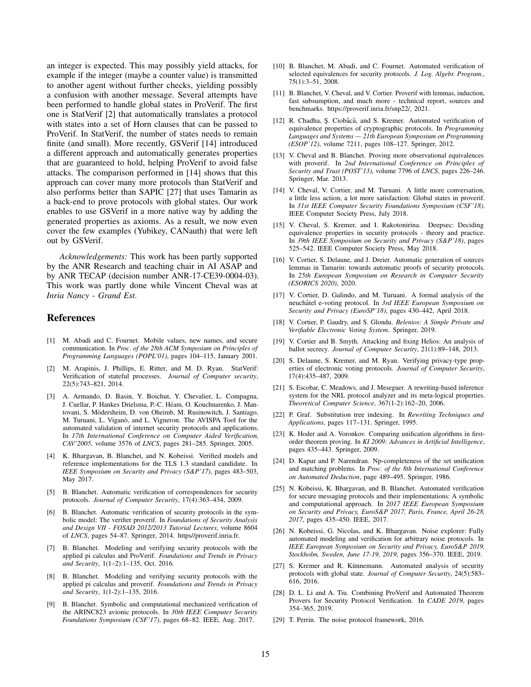an integer is expected. This may possibly yield attacks, for example if the integer (maybe a counter value) is transmitted to another agent without further checks, yielding possibly a confusion with another message. Several attempts have been performed to handle global states in ProVerif. The first one is StatVerif [2] that automatically translates a protocol with states into a set of Horn clauses that can be passed to ProVerif. In StatVerif, the number of states needs to remain finite (and small). More recently, GSVerif [14] introduced a different approach and automatically generates properties that are guaranteed to hold, helping ProVerif to avoid false attacks. The comparison performed in [14] shows that this approach can cover many more protocols than StatVerif and also performs better than SAPIC [27] that uses Tamarin as a back-end to prove protocols with global states. Our work enables to use GSVerif in a more native way by adding the generated properties as axioms. As a result, we now even cover the few examples (Yubikey, CANauth) that were left out by GSVerif.

*Acknowledgements:* This work has been partly supported by the ANR Research and teaching chair in AI ASAP and by ANR TECAP (decision number ANR-17-CE39-0004-03). This work was partly done while Vincent Cheval was at *Inria Nancy - Grand Est*.

## References

- [1] M. Abadi and C. Fournet. Mobile values, new names, and secure communication. In *Proc. of the 28th ACM Symposium on Principles of Programming Languages (POPL'01)*, pages 104–115, January 2001.
- [2] M. Arapinis, J. Phillips, E. Ritter, and M. D. Ryan. StatVerif: Verification of stateful processes. *Journal of Computer security*, 22(5):743–821, 2014.
- [3] A. Armando, D. Basin, Y. Boichut, Y. Chevalier, L. Compagna, J. Cuellar, P. Hankes Drielsma, P.-C. Heam, O. Kouchnarenko, J. Man- ´ tovani, S. Mödersheim, D. von Oheimb, M. Rusinowitch, J. Santiago, M. Turuani, L. Viganò, and L. Vigneron. The AVISPA Tool for the automated validation of internet security protocols and applications. In *17th International Conference on Computer Aided Verification, CAV'2005*, volume 3576 of *LNCS*, pages 281–285. Springer, 2005.
- [4] K. Bhargavan, B. Blanchet, and N. Kobeissi. Verified models and reference implementations for the TLS 1.3 standard candidate. In *IEEE Symposium on Security and Privacy (S&P'17)*, pages 483–503, May 2017.
- [5] B. Blanchet. Automatic verification of correspondences for security protocols. *Journal of Computer Security*, 17(4):363–434, 2009.
- [6] B. Blanchet. Automatic verification of security protocols in the symbolic model: The verifier proverif. In *Foundations of Security Analysis and Design VII - FOSAD 2012/2013 Tutorial Lectures*, volume 8604 of *LNCS*, pages 54–87. Springer, 2014. https//proverif.inria.fr.
- [7] B. Blanchet. Modeling and verifying security protocols with the applied pi calculus and ProVerif. *Foundations and Trends in Privacy and Security*, 1(1–2):1–135, Oct. 2016.
- [8] B. Blanchet. Modeling and verifying security protocols with the applied pi calculus and proverif. *Foundations and Trends in Privacy and Security*, 1(1-2):1–135, 2016.
- [9] B. Blanchet. Symbolic and computational mechanized verification of the ARINC823 avionic protocols. In *30th IEEE Computer Security Foundations Symposium (CSF'17)*, pages 68–82. IEEE, Aug. 2017.
- [10] B. Blanchet, M. Abadi, and C. Fournet. Automated verification of selected equivalences for security protocols. *J. Log. Algebr. Program.*, 75(1):3–51, 2008.
- [11] B. Blanchet, V. Cheval, and V. Cortier. Proverif with lemmas, induction, fast subsumption, and much more - technical report, sources and benchmarks. https://proverif.inria.fr/snp22/, 2021.
- [12] R. Chadha, Ş. Ciobâcă, and S. Kremer. Automated verification of equivalence properties of cryptographic protocols. In *Programming Languages and Systems — 21th European Symposium on Programming (ESOP'12)*, volume 7211, pages 108–127. Springer, 2012.
- [13] V. Cheval and B. Blanchet. Proving more observational equivalences with proverif. In *2nd International Conference on Principles of Security and Trust (POST'13)*, volume 7796 of *LNCS*, pages 226–246. Springer, Mar. 2013.
- [14] V. Cheval, V. Cortier, and M. Turuani. A little more conversation, a little less action, a lot more satisfaction: Global states in proverif. In *31st IEEE Computer Security Foundations Symposium (CSF'18)*. IEEE Computer Society Press, July 2018.
- [15] V. Cheval, S. Kremer, and I. Rakotonirina. Deepsec: Deciding equivalence properties in security protocols - theory and practice. In *39th IEEE Symposium on Security and Privacy (S&P'18)*, pages 525–542. IEEE Computer Society Press, May 2018.
- [16] V. Cortier, S. Delaune, and J. Dreier. Automatic generation of sources lemmas in Tamarin: towards automatic proofs of security protocols. In *25th European Symposium on Research in Computer Security (ESORICS 2020)*, 2020.
- [17] V. Cortier, D. Galindo, and M. Turuani. A formal analysis of the neuchâtel e-voting protocol. In 3rd IEEE European Symposium on *Security and Privacy (EuroSP'18)*, pages 430–442, April 2018.
- [18] V. Cortier, P. Gaudry, and S. Glondu. *Belenios: A Simple Private and Verifiable Electronic Voting System*. Springer, 2019.
- [19] V. Cortier and B. Smyth. Attacking and fixing Helios: An analysis of ballot secrecy. *Journal of Computer Security*, 21(1):89–148, 2013.
- [20] S. Delaune, S. Kremer, and M. Ryan. Verifying privacy-type properties of electronic voting protocols. *Journal of Computer Security*, 17(4):435–487, 2009.
- [21] S. Escobar, C. Meadows, and J. Meseguer. A rewriting-based inference system for the NRL protocol analyzer and its meta-logical properties. *Theoretical Computer Science*, 367(1-2):162–20, 2006.
- [22] P. Graf. Substitution tree indexing. In *Rewriting Techniques and Applications*, pages 117–131. Springer, 1995.
- [23] K. Hoder and A. Voronkov. Comparing unification algorithms in firstorder theorem proving. In *KI 2009: Advances in Artificial Intelligence*, pages 435–443. Springer, 2009.
- [24] D. Kapur and P. Narendran. Np-completeness of the set unification and matching problems. In *Proc. of the 8th International Conference on Automated Deduction*, page 489–495. Springer, 1986.
- [25] N. Kobeissi, K. Bhargavan, and B. Blanchet. Automated verification for secure messaging protocols and their implementations: A symbolic and computational approach. In *2017 IEEE European Symposium on Security and Privacy, EuroS&P 2017, Paris, France, April 26-28, 2017*, pages 435–450. IEEE, 2017.
- [26] N. Kobeissi, G. Nicolas, and K. Bhargavan. Noise explorer: Fully automated modeling and verification for arbitrary noise protocols. In *IEEE European Symposium on Security and Privacy, EuroS&P 2019, Stockholm, Sweden, June 17-19, 2019*, pages 356–370. IEEE, 2019.
- [27] S. Kremer and R. Künnemann. Automated analysis of security protocols with global state. *Journal of Computer Security*, 24(5):583– 616, 2016.
- [28] D. L. Li and A. Tiu. Combining ProVerif and Automated Theorem Provers for Security Protocol Verification. In *CADE 2019*, pages 354–365, 2019.
- [29] T. Perrin. The noise protocol framework, 2016.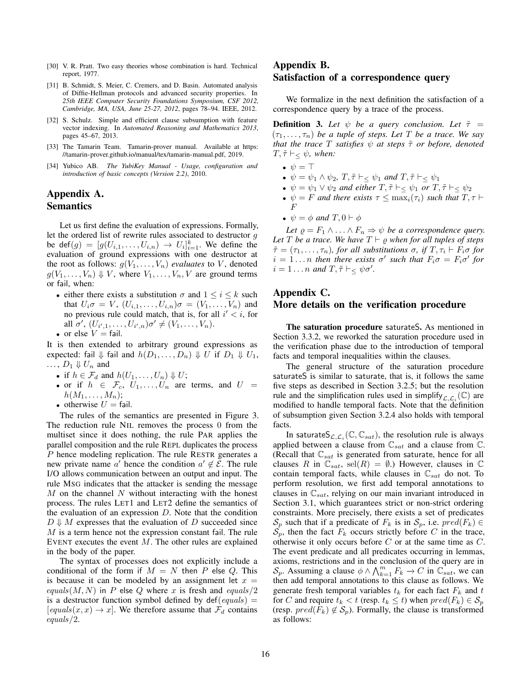- [30] V. R. Pratt. Two easy theories whose combination is hard. Technical report, 1977.
- [31] B. Schmidt, S. Meier, C. Cremers, and D. Basin. Automated analysis of Diffie-Hellman protocols and advanced security properties. In *25th IEEE Computer Security Foundations Symposium, CSF 2012, Cambridge, MA, USA, June 25-27, 2012*, pages 78–94. IEEE, 2012.
- [32] S. Schulz. Simple and efficient clause subsumption with feature vector indexing. In *Automated Reasoning and Mathematics 2013*, pages 45–67, 2013.
- [33] The Tamarin Team. Tamarin-prover manual. Available at https: //tamarin-prover.github.io/manual/tex/tamarin-manual.pdf, 2019.
- [34] Yubico AB. *The YubiKey Manual Usage, configuration and introduction of basic concepts (Version 2.2)*, 2010.

## Appendix A. Semantics

Let us first define the evaluation of expressions. Formally, let the ordered list of rewrite rules associated to destructor g be def $(g) = [g(U_{i,1},...,U_{i,n}) \rightarrow U_i]_{i=1}^k$ . We define the evaluation of ground expressions with one destructor at the root as follows:  $g(V_1, \ldots, V_n)$  *evaluates* to V, denoted  $g(V_1, \ldots, V_n) \Downarrow V$ , where  $V_1, \ldots, V_n, V$  are ground terms or fail, when:

- either there exists a substitution  $\sigma$  and  $1 \leq i \leq k$  such that  $U_i \sigma = V$ ,  $(U_{i,1}, \ldots, U_{i,n}) \sigma = (V_1, \ldots, V_n)$  and no previous rule could match, that is, for all  $i' < i$ , for all  $\sigma'$ ,  $(U_{i',1},...,U_{i',n})\sigma' \neq (V_1,...,V_n)$ .
- or else  $V = \text{fail.}$

It is then extended to arbitrary ground expressions as expected: fail  $\Downarrow$  fail and  $h(D_1, \ldots, D_n) \Downarrow U$  if  $D_1 \Downarrow U_1$ ,  $\ldots$ ,  $D_1 \Downarrow U_n$  and

- if  $h \in \mathcal{F}_d$  and  $h(U_1, \ldots, U_n) \Downarrow U$ ;
- or if  $h \in \mathcal{F}_c, U_1, \ldots, U_n$  are terms, and  $U =$  $h(M_1,\ldots,M_n);$
- otherwise  $U = \text{fail.}$

The rules of the semantics are presented in Figure 3. The reduction rule NIL removes the process 0 from the multiset since it does nothing, the rule PAR applies the parallel composition and the rule REPL duplicates the process P hence modeling replication. The rule RESTR generates a new private name a' hence the condition  $a' \notin \mathcal{E}$ . The rule I/O allows communication between an output and input. The rule MSG indicates that the attacker is sending the message  $M$  on the channel  $N$  without interacting with the honest process. The rules LET1 and LET2 define the semantics of the evaluation of an expression  $D$ . Note that the condition  $D \Downarrow M$  expresses that the evaluation of D succeeded since M is a term hence not the expression constant fail. The rule EVENT executes the event  $M$ . The other rules are explained in the body of the paper.

The syntax of processes does not explicitly include a conditional of the form if  $M = N$  then P else Q. This is because it can be modeled by an assignment let  $x =$ equals(M, N) in P else Q where x is fresh and equals/2 is a destructor function symbol defined by  $\text{def}(equals)$  =  $[equals(x, x) \rightarrow x]$ . We therefore assume that  $\mathcal{F}_d$  contains equals/2.

# Appendix B. Satisfaction of a correspondence query

We formalize in the next definition the satisfaction of a correspondence query by a trace of the process.

**Definition 3.** Let  $\psi$  be a query conclusion. Let  $\tilde{\tau}$  =  $(\tau_1, \ldots, \tau_n)$  *be a tuple of steps. Let* T *be a trace. We say that the trace* T *satisfies*  $\psi$  *at steps*  $\tilde{\tau}$  *or before, denoted*  $T, \tilde{\tau} \vdash_{\leq} \psi$ , when:

- $\psi = \top$
- $\psi = \psi_1 \wedge \psi_2$ ,  $T, \tilde{\tau} \vdash \xi \psi_1$  *and*  $T, \tilde{\tau} \vdash \xi \psi_1$
- $\psi = \psi_1 \vee \psi_2$  *and either*  $T, \tilde{\tau} \vdash_{\leq} \psi_1$  *or*  $T, \tilde{\tau} \vdash_{\leq} \psi_2$
- $\psi = F$  *and there exists*  $\tau \leq \max_i(\tau_i)$  *such that*  $T, \tau \vdash$  $F$
- $\psi = \phi$  *and*  $T$ ,  $0 \vdash \phi$

*Let*  $\varrho = F_1 \wedge \ldots \wedge F_n \Rightarrow \psi$  *be a correspondence query.* Let T be a trace. We have  $T \vdash \rho$  when for all tuples of steps  $\tilde{\tau} = (\tau_1, \dots, \tau_n)$ , for all substitutions  $\sigma$ , if  $T, \tau_i \vdash F_i \sigma$  for  $i = 1...n$  then there exists  $\sigma'$  such that  $F_i \sigma = F_i \sigma'$  for  $i = 1 \dots n$  and  $T, \tilde{\tau} \vdash_{\leq} \psi \sigma'.$ 

# Appendix C. More details on the verification procedure

The saturation procedure saturateS. As mentioned in Section 3.3.2, we reworked the saturation procedure used in the verification phase due to the introduction of temporal facts and temporal inequalities within the clauses.

The general structure of the saturation procedure saturateS is similar to saturate, that is, it follows the same five steps as described in Section 3.2.5; but the resolution rule and the simplification rules used in simplify  $_{\mathcal{L},\mathcal{L}_i}(\mathbb{C})$  are modified to handle temporal facts. Note that the definition of subsumption given Section 3.2.4 also holds with temporal facts.

In saturate $S_{\mathcal{L},\mathcal{L}_i}(\mathbb{C},\mathbb{C}_{sat})$ , the resolution rule is always applied between a clause from  $\mathbb{C}_{sat}$  and a clause from  $\mathbb{C}$ . (Recall that  $\mathbb{C}_{sat}$  is generated from saturate, hence for all clauses R in  $\mathbb{C}_{sat}$ , sel $(R) = \emptyset$ .) However, clauses in  $\mathbb {C}$ contain temporal facts, while clauses in  $\mathbb{C}_{sat}$  do not. To perform resolution, we first add temporal annotations to clauses in  $\mathbb{C}_{sat}$ , relying on our main invariant introduced in Section 3.1, which guarantees strict or non-strict ordering constraints. More precisely, there exists a set of predicates  $S_p$  such that if a predicate of  $F_k$  is in  $S_p$ , i.e.  $pred(F_k) \in$  $\mathcal{S}_p$ , then the fact  $F_k$  occurs strictly before C in the trace, otherwise it only occurs before  $C$  or at the same time as  $C$ . The event predicate and all predicates occurring in lemmas, axioms, restrictions and in the conclusion of the query are in  $\mathcal{S}_p$ . Assuming a clause  $\phi \wedge \bigwedge_{k=1}^m F_k \to C$  in  $\mathbb{C}_{sat}$ , we can then add temporal annotations to this clause as follows. We generate fresh temporal variables  $t_k$  for each fact  $F_k$  and  $t$ for C and require  $t_k < t$  (resp.  $t_k \le t$ ) when  $pred(F_k) \in S_p$ (resp.  $pred(F_k) \notin S_p$ ). Formally, the clause is transformed as follows: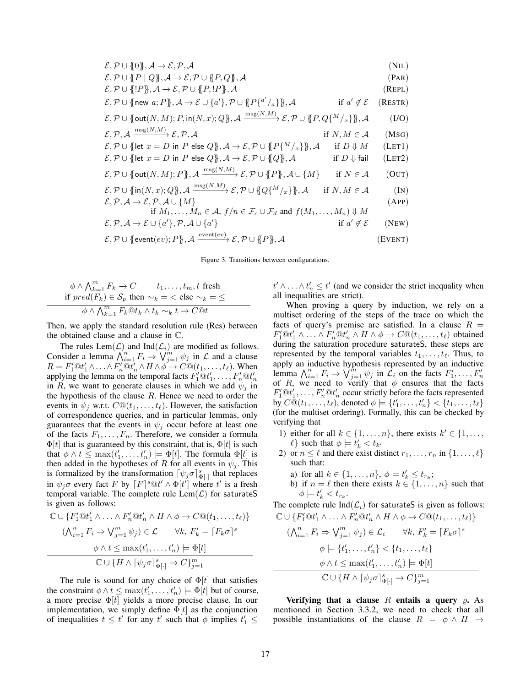| $\mathcal{E}, \mathcal{P} \cup \{0\}, \mathcal{A} \rightarrow \mathcal{E}, \mathcal{P}, \mathcal{A}$                                                                                                | (NIL)   |
|-----------------------------------------------------------------------------------------------------------------------------------------------------------------------------------------------------|---------|
| $\mathcal{E}, \mathcal{P} \cup \{P \mid Q\}, \mathcal{A} \rightarrow \mathcal{E}, \mathcal{P} \cup \{P, Q\}, \mathcal{A}$                                                                           | (PAR)   |
| $\mathcal{E}, \mathcal{P} \cup \{P\}, \mathcal{A} \rightarrow \mathcal{E}, \mathcal{P} \cup \{P, P\}, \mathcal{A}$                                                                                  | (REPL)  |
| $\mathcal{E}, \mathcal{P} \cup \{\text{new } a; P\}, \mathcal{A} \to \mathcal{E} \cup \{a'\}, \mathcal{P} \cup \{P\}^{a'} / _{a}\}\$ , A<br>if $a' \notin \mathcal{E}$                              | (RESTR) |
| $\mathcal{E}, \mathcal{P} \cup \{\text{\text{out}}(N,M); P, \text{\text{in}}(N,x); Q\}, \mathcal{A} \xrightarrow{\text{msg}(N,M)} \mathcal{E}, \mathcal{P} \cup \{P, Q\}^M /_{x}\}, \mathcal{A}$    | (I/O)   |
| $\mathcal{E}, \mathcal{P}, \mathcal{A} \xrightarrow{\text{msg}(N,M)} \mathcal{E}, \mathcal{P}, \mathcal{A}$<br>if $N, M \in \mathcal{A}$                                                            | (MSG)   |
| $\mathcal{E}, \mathcal{P} \cup \{\{\text{let } x = D \text{ in } P \text{ else } Q\}, \mathcal{A} \to \mathcal{E}, \mathcal{P} \cup \{P\}^M /_{x}\}\}, \mathcal{A}$<br>if $D \Downarrow M$          | (LET1)  |
| $\mathcal{E}, \mathcal{P} \cup \{\{\mathsf{let}\; x = D \text{ in } P \text{ else } Q\}, \mathcal{A} \to \mathcal{E}, \mathcal{P} \cup \{Q\}, \mathcal{A}\}$<br>if $D \Downarrow$ fail              | (LET2)  |
| $\mathcal{E}, \mathcal{P} \cup \{\text{out}(N, M); P\}, \mathcal{A} \xrightarrow{\text{msg}(N, M)} \mathcal{E}, \mathcal{P} \cup \{P\}, \mathcal{A} \cup \{M\}$<br>if $N \in \mathcal{A}$           | (OUT)   |
| $\mathcal{E}, \mathcal{P} \cup \{\mathfrak{lin}(N,x); Q\}$ , $\mathcal{A} \xrightarrow{\text{msg}(N,M)} \mathcal{E}, \mathcal{P} \cup \{Q\}^M /_{x}\}$ , $\mathcal{A}$<br>if $N, M \in \mathcal{A}$ | (IN)    |
| $\mathcal{E}, \mathcal{P}, \mathcal{A} \rightarrow \mathcal{E}, \mathcal{P}, \mathcal{A} \cup \{M\}$                                                                                                | (APP)   |
| if $M_1, \ldots, M_n \in \mathcal{A}, f/n \in \mathcal{F}_c \cup \mathcal{F}_d$ and $f(M_1, \ldots, M_n) \Downarrow M$                                                                              |         |
| $\mathcal{E}, \mathcal{P}, \mathcal{A} \to \mathcal{E} \cup \{a'\}, \mathcal{P}, \mathcal{A} \cup \{a'\}$<br>if $a' \notin \mathcal{E}$                                                             | (NEW)   |
| $\mathcal{E}, \mathcal{P} \cup \{\text{event}(ev); P\}, \mathcal{A} \xrightarrow{\text{event}(ev)} \mathcal{E}, \mathcal{P} \cup \{\!\!\{P\}\!\!\}, \mathcal{A}$                                    | (EVENT) |

Figure 3. Transitions between configurations.

$$
\begin{aligned}\n\phi \wedge \bigwedge_{k=1}^{m} F_k &\to C & t_1, \dots, t_m, t \text{ fresh} \\
\text{if } pred(F_k) \in \mathcal{S}_p \text{ then } \sim_k = < \text{ else } \sim_k = \leq \\
\phi \wedge \bigwedge_{k=1}^{m} F_k @ t_k \wedge t_k &\sim_k t \to C @ t\n\end{aligned}
$$

Then, we apply the standard resolution rule (Res) between the obtained clause and a clause in C.

The rules  $\text{Lem}(\mathcal{L})$  and  $\text{Ind}(\mathcal{L}_i)$  are modified as follows. Consider a lemma  $\bigwedge_{i=1}^{n} F_i \Rightarrow \bigvee_{j=1}^{m} \psi_j$  in  $\mathcal L$  and a clause  $R = F'_1 @ t'_1 \wedge \ldots \wedge F'_n @ t'_n \wedge H \wedge \phi \rightarrow C @ (t_1, \ldots, t_\ell)$ . When applying the lemma on the temporal facts  $F'_1@t'_1, \ldots, F'_n@t'_n$ in R, we want to generate clauses in which we add  $\psi_j$  in the hypothesis of the clause  $R$ . Hence we need to order the events in  $\psi_i$  w.r.t.  $C@(t_1, \ldots, t_\ell)$ . However, the satisfaction of correspondence queries, and in particular lemmas, only guarantees that the events in  $\psi_i$  occur before at least one of the facts  $F_1, \ldots, F_n$ . Therefore, we consider a formula  $\Phi[t]$  that is guaranteed by this constraint, that is,  $\Phi[t]$  is such that  $\phi \wedge t \leq \max(t'_1, \ldots, t'_n) \models \Phi[t]$ . The formula  $\Phi[t]$  is then added in the hypotheses of R for all events in  $\psi_i$ . This is formalized by the transformation  $\lceil \psi_j \sigma \rceil_{\Phi[\cdot]}^s$  that replaces in  $\psi_j \sigma$  every fact F by  $[F]^{s \circledR t'} \wedge \Phi[t']$  where t' is a fresh temporal variable. The complete rule  $\text{Lem}(\mathcal{L})$  for saturateS is given as follows:

$$
\mathbb{C} \cup \{F_1' \mathbb{Q} t_1' \land \dots \land F_n' \mathbb{Q} t_n' \land H \land \phi \to C \mathbb{Q}(t_1, \dots, t_\ell)\}
$$

$$
(\bigwedge_{i=1}^n F_i \Rightarrow \bigvee_{j=1}^m \psi_j) \in \mathcal{L} \qquad \forall k, \ F_k' = \lceil F_k \sigma \rceil^s
$$

$$
\phi \land t \leq \max(t_1', \dots, t_n') \models \Phi[t]
$$

$$
\mathbb{C} \cup \{H \land [\psi_j \sigma]_{\Phi[\cdot]}^s \to C\}_{j=1}^m
$$

The rule is sound for any choice of  $\Phi[t]$  that satisfies the constraint  $\phi \wedge t \leq \max(t'_1, \ldots, t'_n) \models \Phi[t]$  but of course, a more precise  $\Phi[t]$  yields a more precise clause. In our implementation, we simply define  $\Phi[t]$  as the conjunction of inequalities  $t \leq t'$  for any  $t'$  such that  $\phi$  implies  $t'_1 \leq$ 

 $t' \wedge \ldots \wedge t'_n \leq t'$  (and we consider the strict inequality when all inequalities are strict).

When proving a query by induction, we rely on a multiset ordering of the steps of the trace on which the facts of query's premise are satisfied. In a clause  $R =$  $F'_1@t'_1 \wedge \ldots \wedge F'_n@t'_n \wedge H \wedge \phi \rightarrow C@(t_1, \ldots, t_\ell)$  obtained during the saturation procedure saturateS, these steps are represented by the temporal variables  $t_1, \ldots, t_\ell$ . Thus, to apply an inductive hypothesis represented by an inductive lemma  $\bigwedge_{i=1}^{n} F_i \Rightarrow \bigvee_{j=1}^{n} \psi_j$  in  $\mathcal{L}_i$  on the facts  $F'_1, \dots, F'_n$ <br>of R, we need to verify that  $\phi$  ensures that the facts  $F'_1 \tQ t'_1, \ldots, F'_n \tQ t'_n$  occur strictly before the facts represented by  $C @ (t_1, \ldots, t_\ell)$ , denoted  $\phi \models \{t'_1, \ldots, t'_n\} < \{t_1, \ldots, t_\ell\}$ (for the multiset ordering). Formally, this can be checked by verifying that

- 1) either for all  $k \in \{1, \ldots, n\}$ , there exists  $k' \in \{1, \ldots, n\}$  $\ell$  such that  $\phi \models \dot{t}'_k < t_{k'}$
- 2) or  $n \leq \ell$  and there exist distinct  $r_1, \ldots, r_n$  in  $\{1, \ldots, \ell\}$ such that:
	- a) for all  $k \in \{1, \ldots, n\}$ ,  $\phi \models t'_k \leq t_{r_k}$ ;
	- b) if  $n = \ell$  then there exists  $k \in \{1, \ldots, n\}$  such that  $\phi \models t'_{k} < t_{r_{k}}.$

The complete rule  $\text{Ind}(\mathcal{L}_i)$  for saturateS is given as follows:  $\mathbb{C} \cup \{F_1' \mathbb{Q} t_1' \wedge \ldots \wedge F_n' \mathbb{Q} t_n' \wedge H \wedge \phi \to C \mathbb{Q}(t_1, \ldots, t_\ell)\}\$ 

$$
(\bigwedge_{i=1}^{n} F_i \Rightarrow \bigvee_{j=1}^{m} \psi_j) \in \mathcal{L}_i \qquad \forall k, F'_k = \lceil F_k \sigma \rceil^s
$$

$$
\phi \models \{t'_1, \dots, t'_n\} < \{t_1, \dots, t_\ell\}
$$

$$
\phi \land t \le \max(t'_1, \dots, t'_n) \models \Phi[t]
$$

$$
\mathbb{C} \cup \{H \land [\psi_j \sigma]_{\Phi[\cdot]}^s \rightarrow C\}_{j=1}^m
$$

Verifying that a clause R entails a query  $\rho$ . As mentioned in Section 3.3.2, we need to check that all possible instantiations of the clause  $R = \phi \land H \rightarrow$